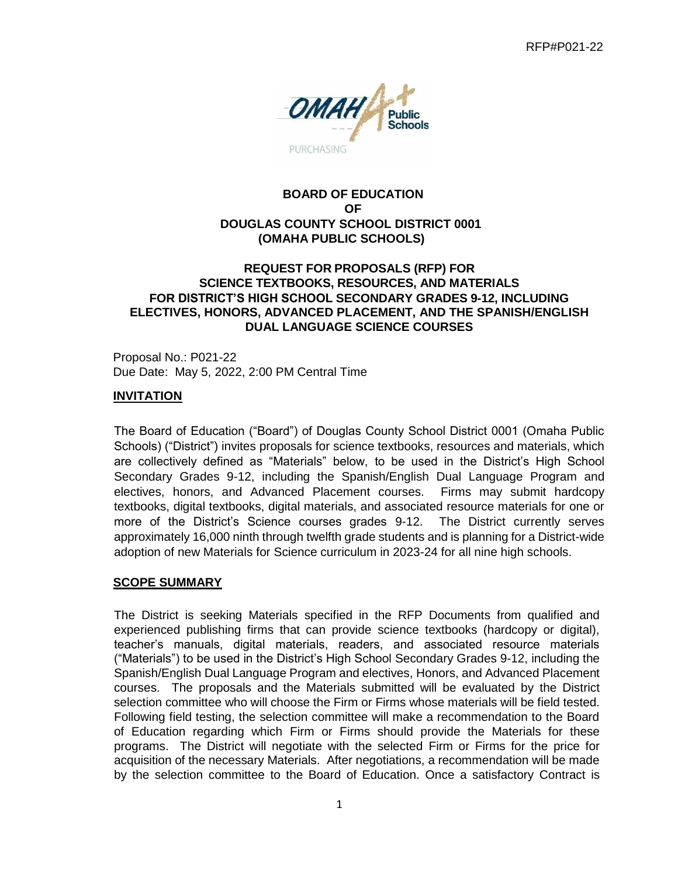

## **BOARD OF EDUCATION OF DOUGLAS COUNTY SCHOOL DISTRICT 0001 (OMAHA PUBLIC SCHOOLS)**

## **REQUEST FOR PROPOSALS (RFP) FOR SCIENCE TEXTBOOKS, RESOURCES, AND MATERIALS FOR DISTRICT'S HIGH SCHOOL SECONDARY GRADES 9-12, INCLUDING ELECTIVES, HONORS, ADVANCED PLACEMENT, AND THE SPANISH/ENGLISH DUAL LANGUAGE SCIENCE COURSES**

Proposal No.: P021-22 Due Date: May 5, 2022, 2:00 PM Central Time

### **INVITATION**

The Board of Education ("Board") of Douglas County School District 0001 (Omaha Public Schools) ("District") invites proposals for science textbooks, resources and materials, which are collectively defined as "Materials" below, to be used in the District's High School Secondary Grades 9-12, including the Spanish/English Dual Language Program and electives, honors, and Advanced Placement courses. Firms may submit hardcopy textbooks, digital textbooks, digital materials, and associated resource materials for one or more of the District's Science courses grades 9-12. The District currently serves approximately 16,000 ninth through twelfth grade students and is planning for a District-wide adoption of new Materials for Science curriculum in 2023-24 for all nine high schools.

#### **SCOPE SUMMARY**

The District is seeking Materials specified in the RFP Documents from qualified and experienced publishing firms that can provide science textbooks (hardcopy or digital), teacher's manuals, digital materials, readers, and associated resource materials ("Materials") to be used in the District's High School Secondary Grades 9-12, including the Spanish/English Dual Language Program and electives, Honors, and Advanced Placement courses. The proposals and the Materials submitted will be evaluated by the District selection committee who will choose the Firm or Firms whose materials will be field tested. Following field testing, the selection committee will make a recommendation to the Board of Education regarding which Firm or Firms should provide the Materials for these programs. The District will negotiate with the selected Firm or Firms for the price for acquisition of the necessary Materials. After negotiations, a recommendation will be made by the selection committee to the Board of Education. Once a satisfactory Contract is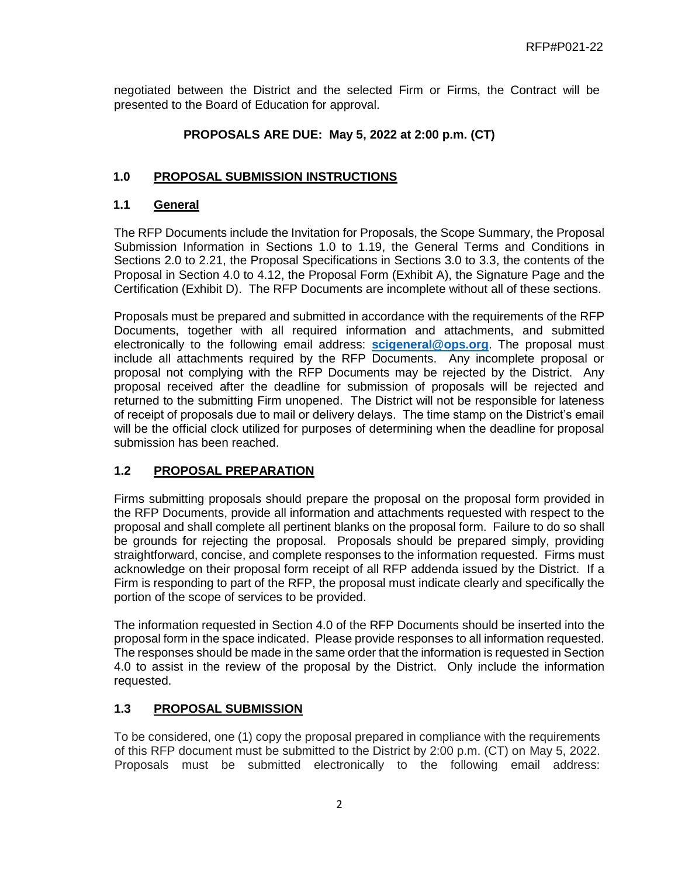negotiated between the District and the selected Firm or Firms, the Contract will be presented to the Board of Education for approval.

## **PROPOSALS ARE DUE: May 5, 2022 at 2:00 p.m. (CT)**

## **1.0 PROPOSAL SUBMISSION INSTRUCTIONS**

### **1.1 General**

The RFP Documents include the Invitation for Proposals, the Scope Summary, the Proposal Submission Information in Sections 1.0 to 1.19, the General Terms and Conditions in Sections 2.0 to 2.21, the Proposal Specifications in Sections 3.0 to 3.3, the contents of the Proposal in Section 4.0 to 4.12, the Proposal Form (Exhibit A), the Signature Page and the Certification (Exhibit D). The RFP Documents are incomplete without all of these sections.

Proposals must be prepared and submitted in accordance with the requirements of the RFP Documents, together with all required information and attachments, and submitted electronically to the following email address: **[scigeneral@ops.org](mailto:scigeneral@ops.org)**. The proposal must include all attachments required by the RFP Documents. Any incomplete proposal or proposal not complying with the RFP Documents may be rejected by the District. Any proposal received after the deadline for submission of proposals will be rejected and returned to the submitting Firm unopened. The District will not be responsible for lateness of receipt of proposals due to mail or delivery delays. The time stamp on the District's email will be the official clock utilized for purposes of determining when the deadline for proposal submission has been reached.

## **1.2 PROPOSAL PREPARATION**

Firms submitting proposals should prepare the proposal on the proposal form provided in the RFP Documents, provide all information and attachments requested with respect to the proposal and shall complete all pertinent blanks on the proposal form. Failure to do so shall be grounds for rejecting the proposal. Proposals should be prepared simply, providing straightforward, concise, and complete responses to the information requested. Firms must acknowledge on their proposal form receipt of all RFP addenda issued by the District. If a Firm is responding to part of the RFP, the proposal must indicate clearly and specifically the portion of the scope of services to be provided.

The information requested in Section 4.0 of the RFP Documents should be inserted into the proposal form in the space indicated. Please provide responses to all information requested. The responses should be made in the same order that the information is requested in Section 4.0 to assist in the review of the proposal by the District. Only include the information requested.

## **1.3 PROPOSAL SUBMISSION**

To be considered, one (1) copy the proposal prepared in compliance with the requirements of this RFP document must be submitted to the District by 2:00 p.m. (CT) on May 5, 2022. Proposals must be submitted electronically to the following email address: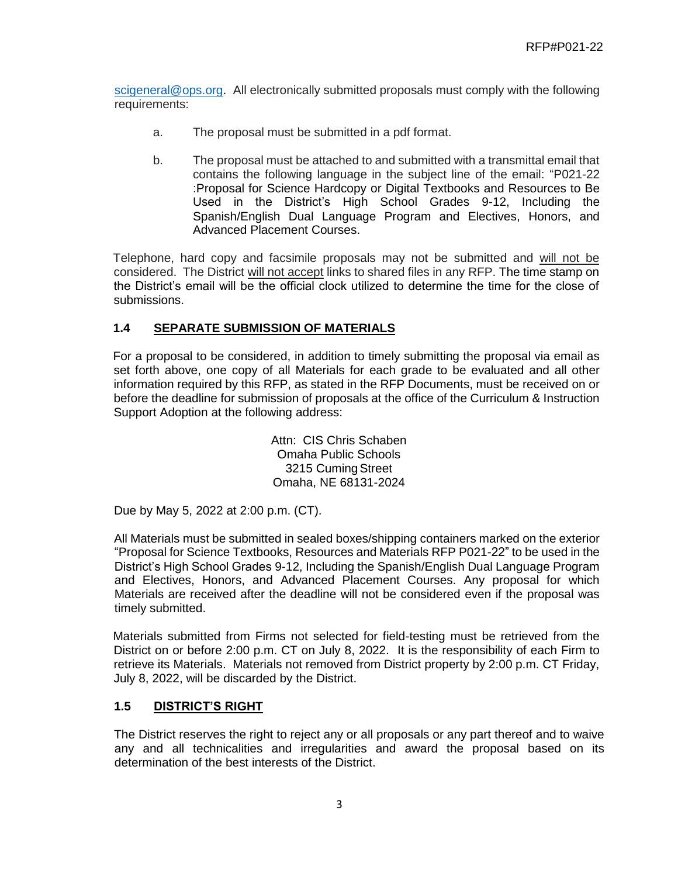[scigeneral@ops.org.](mailto:scigeneral@ops.org) All electronically submitted proposals must comply with the following requirements:

- a. The proposal must be submitted in a pdf format.
- b. The proposal must be attached to and submitted with a transmittal email that contains the following language in the subject line of the email: "P021-22 :Proposal for Science Hardcopy or Digital Textbooks and Resources to Be Used in the District's High School Grades 9-12, Including the Spanish/English Dual Language Program and Electives, Honors, and Advanced Placement Courses.

Telephone, hard copy and facsimile proposals may not be submitted and will not be considered. The District will not accept links to shared files in any RFP. The time stamp on the District's email will be the official clock utilized to determine the time for the close of submissions.

## **1.4 SEPARATE SUBMISSION OF MATERIALS**

For a proposal to be considered, in addition to timely submitting the proposal via email as set forth above, one copy of all Materials for each grade to be evaluated and all other information required by this RFP, as stated in the RFP Documents, must be received on or before the deadline for submission of proposals at the office of the Curriculum & Instruction Support Adoption at the following address:

> Attn: CIS Chris Schaben Omaha Public Schools 3215 Cuming Street Omaha, NE 68131-2024

Due by May 5, 2022 at 2:00 p.m. (CT).

All Materials must be submitted in sealed boxes/shipping containers marked on the exterior "Proposal for Science Textbooks, Resources and Materials RFP P021-22" to be used in the District's High School Grades 9-12, Including the Spanish/English Dual Language Program and Electives, Honors, and Advanced Placement Courses. Any proposal for which Materials are received after the deadline will not be considered even if the proposal was timely submitted.

Materials submitted from Firms not selected for field-testing must be retrieved from the District on or before 2:00 p.m. CT on July 8, 2022. It is the responsibility of each Firm to retrieve its Materials. Materials not removed from District property by 2:00 p.m. CT Friday, July 8, 2022, will be discarded by the District.

## **1.5 DISTRICT'S RIGHT**

The District reserves the right to reject any or all proposals or any part thereof and to waive any and all technicalities and irregularities and award the proposal based on its determination of the best interests of the District.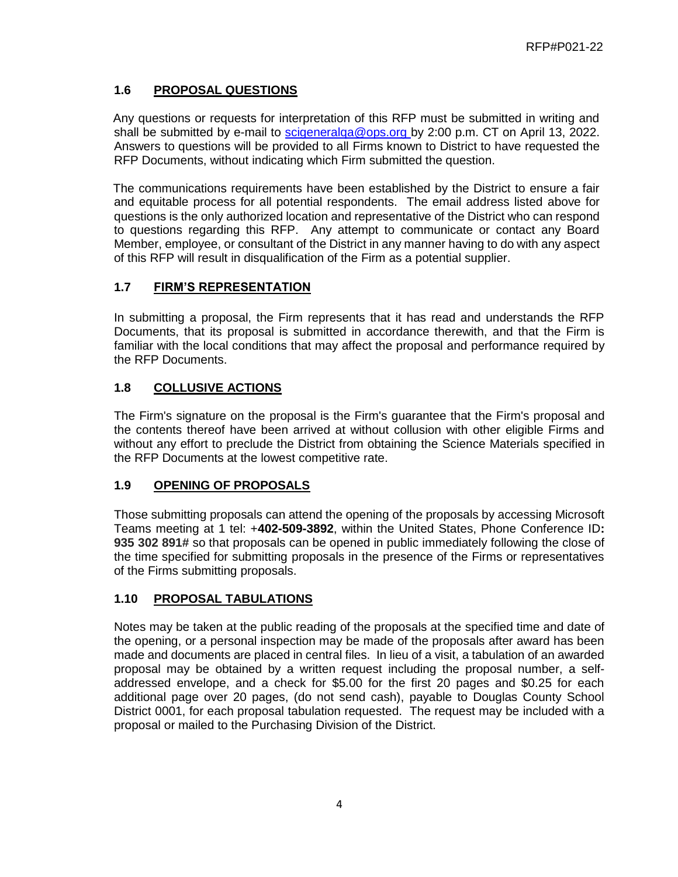## **1.6 PROPOSAL QUESTIONS**

Any questions or requests for interpretation of this RFP must be submitted in writing and shall be submitted by e-mail to scigeneralga@ops.org by 2:00 p.m. CT on April 13, 2022. Answers to questions will be provided to all Firms known to District to have requested the RFP Documents, without indicating which Firm submitted the question.

The communications requirements have been established by the District to ensure a fair and equitable process for all potential respondents. The email address listed above for questions is the only authorized location and representative of the District who can respond to questions regarding this RFP. Any attempt to communicate or contact any Board Member, employee, or consultant of the District in any manner having to do with any aspect of this RFP will result in disqualification of the Firm as a potential supplier.

## **1.7 FIRM'S REPRESENTATION**

In submitting a proposal, the Firm represents that it has read and understands the RFP Documents, that its proposal is submitted in accordance therewith, and that the Firm is familiar with the local conditions that may affect the proposal and performance required by the RFP Documents.

## **1.8 COLLUSIVE ACTIONS**

The Firm's signature on the proposal is the Firm's guarantee that the Firm's proposal and the contents thereof have been arrived at without collusion with other eligible Firms and without any effort to preclude the District from obtaining the Science Materials specified in the RFP Documents at the lowest competitive rate.

## **1.9 OPENING OF PROPOSALS**

Those submitting proposals can attend the opening of the proposals by accessing Microsoft Teams meeting at 1 tel: +**402-509-3892**, within the United States, Phone Conference ID**: 935 302 891#** so that proposals can be opened in public immediately following the close of the time specified for submitting proposals in the presence of the Firms or representatives of the Firms submitting proposals.

## **1.10 PROPOSAL TABULATIONS**

Notes may be taken at the public reading of the proposals at the specified time and date of the opening, or a personal inspection may be made of the proposals after award has been made and documents are placed in central files. In lieu of a visit, a tabulation of an awarded proposal may be obtained by a written request including the proposal number, a selfaddressed envelope, and a check for \$5.00 for the first 20 pages and \$0.25 for each additional page over 20 pages, (do not send cash), payable to Douglas County School District 0001, for each proposal tabulation requested. The request may be included with a proposal or mailed to the Purchasing Division of the District.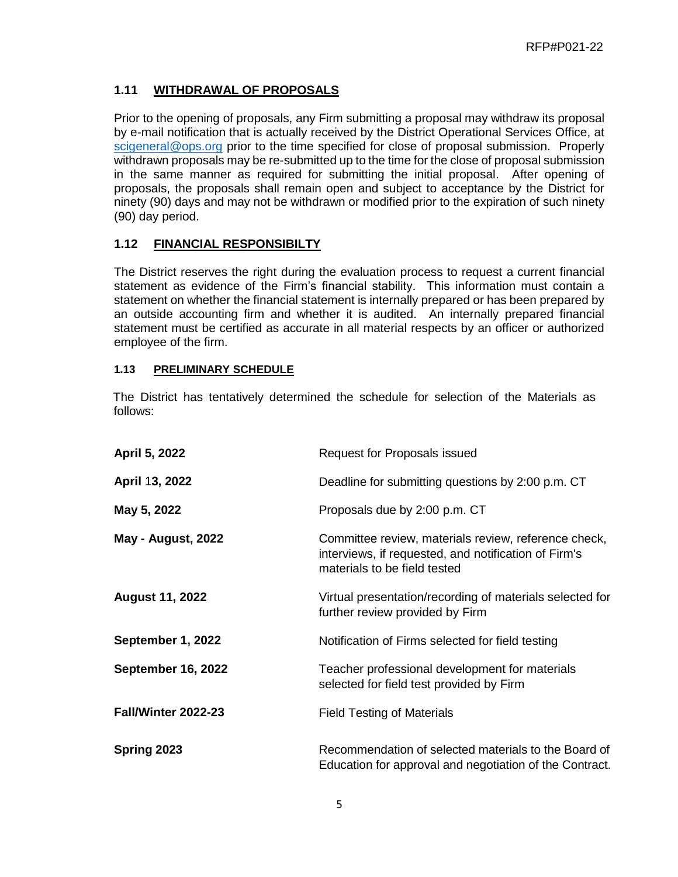## **1.11 WITHDRAWAL OF PROPOSALS**

Prior to the opening of proposals, any Firm submitting a proposal may withdraw its proposal by e-mail notification that is actually received by the District Operational Services Office, at [scigeneral@ops.org](mailto:scigeneral@ops.org) prior to the time specified for close of proposal submission. Properly withdrawn proposals may be re-submitted up to the time for the close of proposal submission in the same manner as required for submitting the initial proposal. After opening of proposals, the proposals shall remain open and subject to acceptance by the District for ninety (90) days and may not be withdrawn or modified prior to the expiration of such ninety (90) day period.

## **1.12 FINANCIAL RESPONSIBILTY**

The District reserves the right during the evaluation process to request a current financial statement as evidence of the Firm's financial stability. This information must contain a statement on whether the financial statement is internally prepared or has been prepared by an outside accounting firm and whether it is audited. An internally prepared financial statement must be certified as accurate in all material respects by an officer or authorized employee of the firm.

### **1.13 PRELIMINARY SCHEDULE**

The District has tentatively determined the schedule for selection of the Materials as follows:

| April 5, 2022              | Request for Proposals issued                                                                                                                 |
|----------------------------|----------------------------------------------------------------------------------------------------------------------------------------------|
| April 13, 2022             | Deadline for submitting questions by 2:00 p.m. CT                                                                                            |
| May 5, 2022                | Proposals due by 2:00 p.m. CT                                                                                                                |
| <b>May - August, 2022</b>  | Committee review, materials review, reference check,<br>interviews, if requested, and notification of Firm's<br>materials to be field tested |
| <b>August 11, 2022</b>     | Virtual presentation/recording of materials selected for<br>further review provided by Firm                                                  |
| September 1, 2022          | Notification of Firms selected for field testing                                                                                             |
| September 16, 2022         | Teacher professional development for materials<br>selected for field test provided by Firm                                                   |
| <b>Fall/Winter 2022-23</b> | <b>Field Testing of Materials</b>                                                                                                            |
| Spring 2023                | Recommendation of selected materials to the Board of<br>Education for approval and negotiation of the Contract.                              |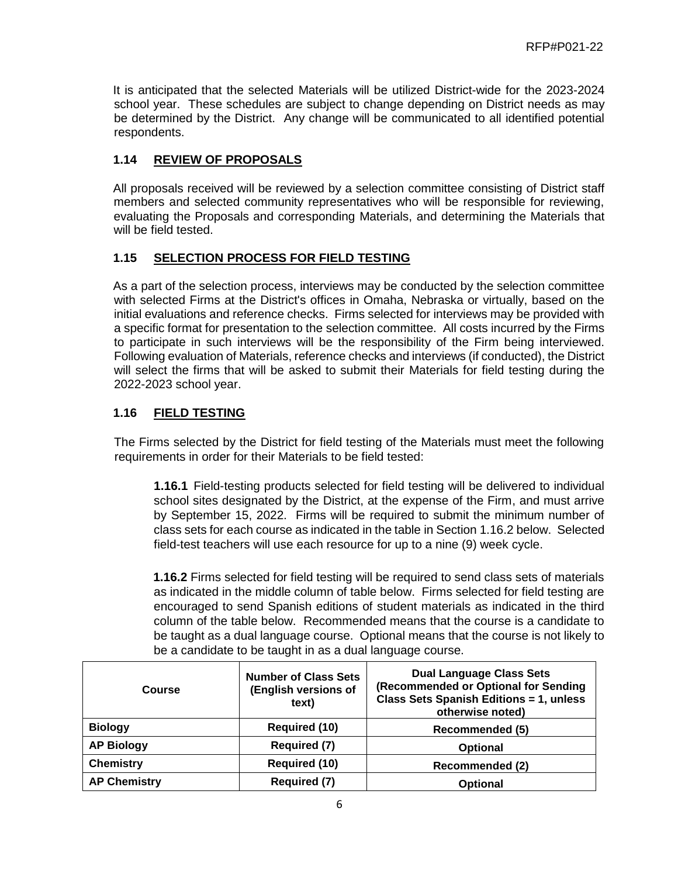It is anticipated that the selected Materials will be utilized District-wide for the 2023-2024 school year. These schedules are subject to change depending on District needs as may be determined by the District. Any change will be communicated to all identified potential respondents.

## **1.14 REVIEW OF PROPOSALS**

All proposals received will be reviewed by a selection committee consisting of District staff members and selected community representatives who will be responsible for reviewing, evaluating the Proposals and corresponding Materials, and determining the Materials that will be field tested.

## **1.15 SELECTION PROCESS FOR FIELD TESTING**

As a part of the selection process, interviews may be conducted by the selection committee with selected Firms at the District's offices in Omaha, Nebraska or virtually, based on the initial evaluations and reference checks. Firms selected for interviews may be provided with a specific format for presentation to the selection committee. All costs incurred by the Firms to participate in such interviews will be the responsibility of the Firm being interviewed. Following evaluation of Materials, reference checks and interviews (if conducted), the District will select the firms that will be asked to submit their Materials for field testing during the 2022-2023 school year.

## **1.16 FIELD TESTING**

The Firms selected by the District for field testing of the Materials must meet the following requirements in order for their Materials to be field tested:

**1.16.1** Field-testing products selected for field testing will be delivered to individual school sites designated by the District, at the expense of the Firm, and must arrive by September 15, 2022. Firms will be required to submit the minimum number of class sets for each course as indicated in the table in Section 1.16.2 below. Selected field-test teachers will use each resource for up to a nine (9) week cycle.

**1.16.2** Firms selected for field testing will be required to send class sets of materials as indicated in the middle column of table below. Firms selected for field testing are encouraged to send Spanish editions of student materials as indicated in the third column of the table below. Recommended means that the course is a candidate to be taught as a dual language course. Optional means that the course is not likely to be a candidate to be taught in as a dual language course.

| Course                                     | <b>Number of Class Sets</b><br>(English versions of<br>text) | <b>Dual Language Class Sets</b><br>(Recommended or Optional for Sending<br><b>Class Sets Spanish Editions = 1, unless</b><br>otherwise noted) |  |  |
|--------------------------------------------|--------------------------------------------------------------|-----------------------------------------------------------------------------------------------------------------------------------------------|--|--|
| <b>Biology</b>                             | <b>Required (10)</b>                                         | Recommended (5)                                                                                                                               |  |  |
| <b>AP Biology</b>                          | <b>Required (7)</b>                                          | <b>Optional</b>                                                                                                                               |  |  |
| <b>Chemistry</b><br><b>Required (10)</b>   |                                                              | Recommended (2)                                                                                                                               |  |  |
| <b>AP Chemistry</b><br><b>Required (7)</b> |                                                              | <b>Optional</b>                                                                                                                               |  |  |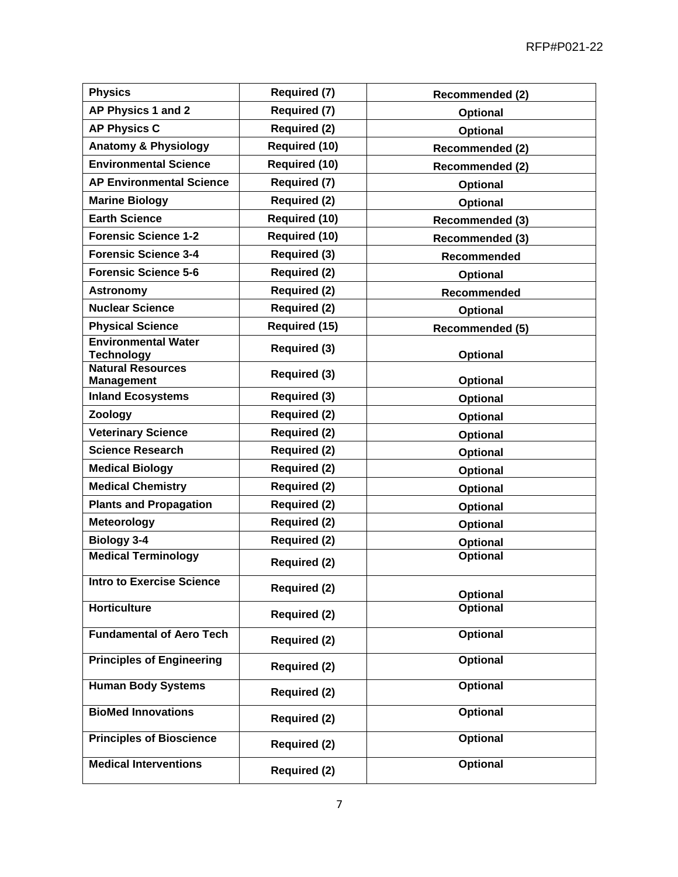| <b>Physics</b>                                  | <b>Required (7)</b> | Recommended (2)        |
|-------------------------------------------------|---------------------|------------------------|
| AP Physics 1 and 2                              | Required (7)        | <b>Optional</b>        |
| <b>AP Physics C</b>                             | <b>Required (2)</b> | Optional               |
| <b>Anatomy &amp; Physiology</b>                 | Required (10)       | Recommended (2)        |
| <b>Environmental Science</b>                    | Required (10)       | <b>Recommended (2)</b> |
| <b>AP Environmental Science</b>                 | Required (7)        | Optional               |
| <b>Marine Biology</b>                           | <b>Required (2)</b> | <b>Optional</b>        |
| <b>Earth Science</b>                            | Required (10)       | Recommended (3)        |
| <b>Forensic Science 1-2</b>                     | Required (10)       | <b>Recommended (3)</b> |
| <b>Forensic Science 3-4</b>                     | <b>Required (3)</b> | Recommended            |
| <b>Forensic Science 5-6</b>                     | <b>Required (2)</b> | Optional               |
| <b>Astronomy</b>                                | <b>Required (2)</b> | Recommended            |
| <b>Nuclear Science</b>                          | <b>Required (2)</b> | Optional               |
| <b>Physical Science</b>                         | Required (15)       | Recommended (5)        |
| <b>Environmental Water</b><br><b>Technology</b> | <b>Required (3)</b> | <b>Optional</b>        |
| <b>Natural Resources</b><br><b>Management</b>   | <b>Required (3)</b> | <b>Optional</b>        |
| <b>Inland Ecosystems</b>                        | <b>Required (3)</b> | <b>Optional</b>        |
| Zoology                                         | <b>Required (2)</b> | Optional               |
| <b>Veterinary Science</b>                       | <b>Required (2)</b> | <b>Optional</b>        |
| <b>Science Research</b>                         | <b>Required (2)</b> | Optional               |
| <b>Medical Biology</b>                          | <b>Required (2)</b> | <b>Optional</b>        |
| <b>Medical Chemistry</b>                        | <b>Required (2)</b> | Optional               |
| <b>Plants and Propagation</b>                   | <b>Required (2)</b> | Optional               |
| <b>Meteorology</b>                              | <b>Required (2)</b> | <b>Optional</b>        |
| <b>Biology 3-4</b>                              | <b>Required (2)</b> | <b>Optional</b>        |
| <b>Medical Terminology</b>                      | <b>Required (2)</b> | <b>Optional</b>        |
| <b>Intro to Exercise Science</b>                | <b>Required (2)</b> | <b>Optional</b>        |
| <b>Horticulture</b>                             | <b>Required (2)</b> | <b>Optional</b>        |
| <b>Fundamental of Aero Tech</b>                 | <b>Required (2)</b> | <b>Optional</b>        |
| <b>Principles of Engineering</b>                | <b>Required (2)</b> | <b>Optional</b>        |
| <b>Human Body Systems</b>                       | <b>Required (2)</b> | <b>Optional</b>        |
| <b>BioMed Innovations</b>                       | <b>Required (2)</b> | <b>Optional</b>        |
| <b>Principles of Bioscience</b>                 | <b>Required (2)</b> | <b>Optional</b>        |
| <b>Medical Interventions</b>                    | <b>Required (2)</b> | <b>Optional</b>        |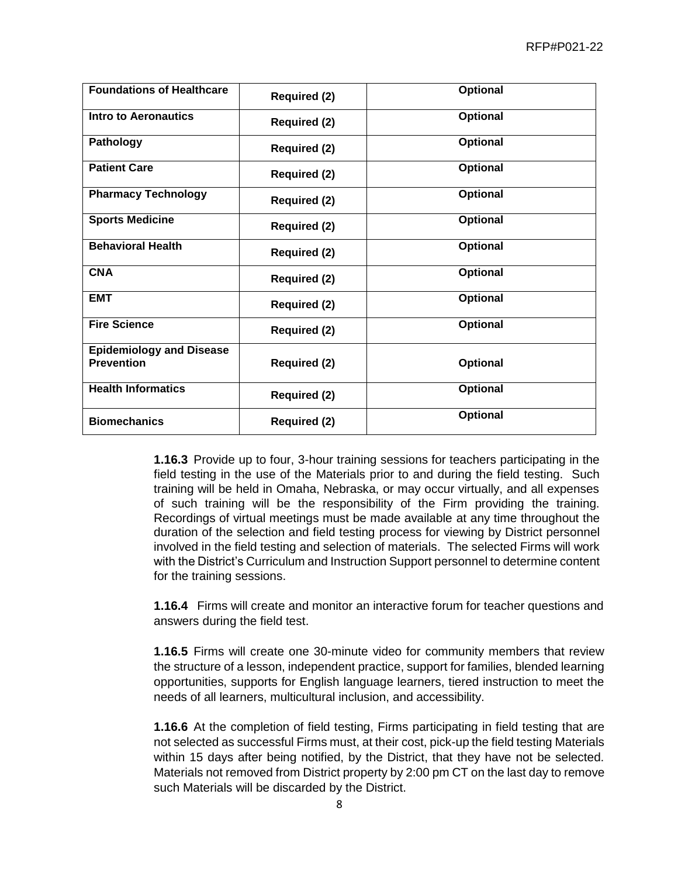| <b>Foundations of Healthcare</b>                     | <b>Required (2)</b> | Optional |
|------------------------------------------------------|---------------------|----------|
| <b>Intro to Aeronautics</b>                          | <b>Required (2)</b> | Optional |
| Pathology                                            | <b>Required (2)</b> | Optional |
| <b>Patient Care</b>                                  | <b>Required (2)</b> | Optional |
| <b>Pharmacy Technology</b>                           | <b>Required (2)</b> | Optional |
| <b>Sports Medicine</b>                               | <b>Required (2)</b> | Optional |
| <b>Behavioral Health</b>                             | <b>Required (2)</b> | Optional |
| <b>CNA</b>                                           | <b>Required (2)</b> | Optional |
| EMT                                                  | <b>Required (2)</b> | Optional |
| <b>Fire Science</b>                                  | <b>Required (2)</b> | Optional |
| <b>Epidemiology and Disease</b><br><b>Prevention</b> | <b>Required (2)</b> | Optional |
| <b>Health Informatics</b>                            | <b>Required (2)</b> | Optional |
| <b>Biomechanics</b>                                  | <b>Required (2)</b> | Optional |

**1.16.3** Provide up to four, 3-hour training sessions for teachers participating in the field testing in the use of the Materials prior to and during the field testing. Such training will be held in Omaha, Nebraska, or may occur virtually, and all expenses of such training will be the responsibility of the Firm providing the training. Recordings of virtual meetings must be made available at any time throughout the duration of the selection and field testing process for viewing by District personnel involved in the field testing and selection of materials. The selected Firms will work with the District's Curriculum and Instruction Support personnel to determine content for the training sessions.

**1.16.4** Firms will create and monitor an interactive forum for teacher questions and answers during the field test.

**1.16.5** Firms will create one 30-minute video for community members that review the structure of a lesson, independent practice, support for families, blended learning opportunities, supports for English language learners, tiered instruction to meet the needs of all learners, multicultural inclusion, and accessibility.

**1.16.6** At the completion of field testing, Firms participating in field testing that are not selected as successful Firms must, at their cost, pick-up the field testing Materials within 15 days after being notified, by the District, that they have not be selected. Materials not removed from District property by 2:00 pm CT on the last day to remove such Materials will be discarded by the District.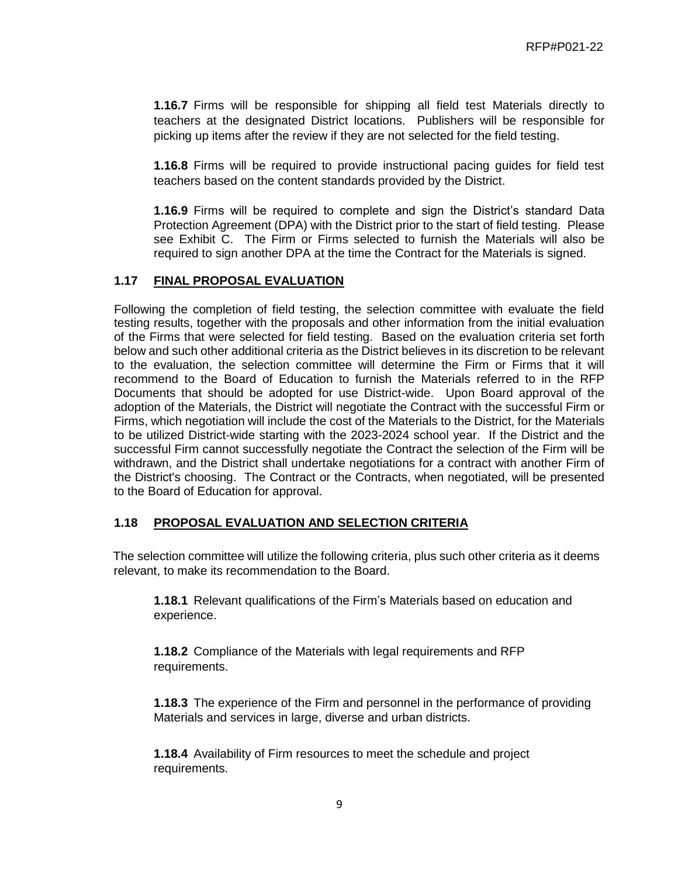**1.16.7** Firms will be responsible for shipping all field test Materials directly to teachers at the designated District locations. Publishers will be responsible for picking up items after the review if they are not selected for the field testing.

**1.16.8** Firms will be required to provide instructional pacing guides for field test teachers based on the content standards provided by the District.

**1.16.9** Firms will be required to complete and sign the District's standard Data Protection Agreement (DPA) with the District prior to the start of field testing. Please see Exhibit C. The Firm or Firms selected to furnish the Materials will also be required to sign another DPA at the time the Contract for the Materials is signed.

### **1.17 FINAL PROPOSAL EVALUATION**

Following the completion of field testing, the selection committee with evaluate the field testing results, together with the proposals and other information from the initial evaluation of the Firms that were selected for field testing. Based on the evaluation criteria set forth below and such other additional criteria as the District believes in its discretion to be relevant to the evaluation, the selection committee will determine the Firm or Firms that it will recommend to the Board of Education to furnish the Materials referred to in the RFP Documents that should be adopted for use District-wide. Upon Board approval of the adoption of the Materials, the District will negotiate the Contract with the successful Firm or Firms, which negotiation will include the cost of the Materials to the District, for the Materials to be utilized District-wide starting with the 2023-2024 school year. If the District and the successful Firm cannot successfully negotiate the Contract the selection of the Firm will be withdrawn, and the District shall undertake negotiations for a contract with another Firm of the District's choosing. The Contract or the Contracts, when negotiated, will be presented to the Board of Education for approval.

#### **1.18 PROPOSAL EVALUATION AND SELECTION CRITERIA**

The selection committee will utilize the following criteria, plus such other criteria as it deems relevant, to make its recommendation to the Board.

**1.18.1** Relevant qualifications of the Firm's Materials based on education and experience.

**1.18.2** Compliance of the Materials with legal requirements and RFP requirements.

**1.18.3** The experience of the Firm and personnel in the performance of providing Materials and services in large, diverse and urban districts.

**1.18.4** Availability of Firm resources to meet the schedule and project requirements.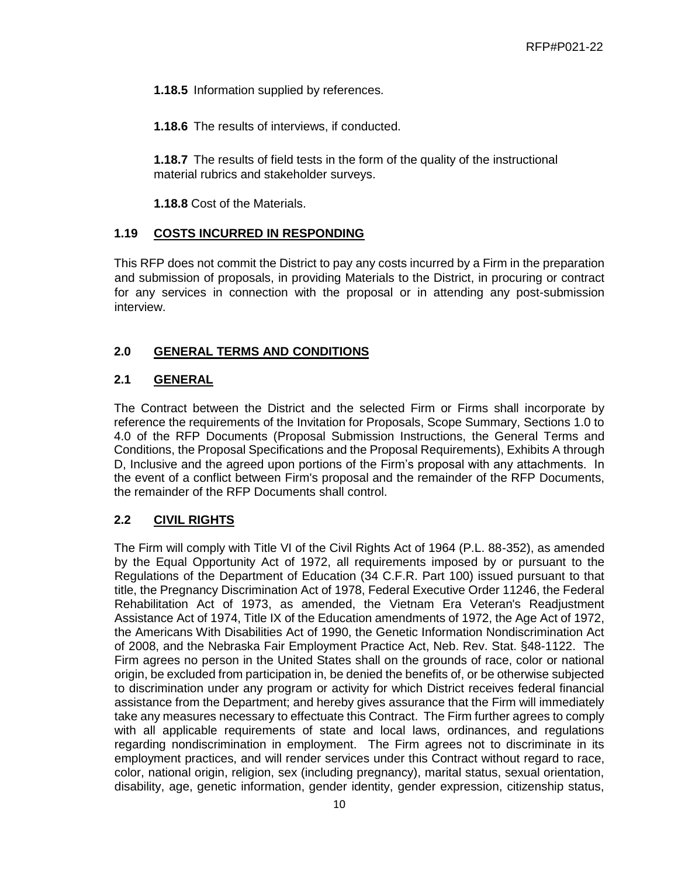**1.18.5** Information supplied by references.

**1.18.6** The results of interviews, if conducted.

**1.18.7** The results of field tests in the form of the quality of the instructional material rubrics and stakeholder surveys.

**1.18.8** Cost of the Materials.

## **1.19 COSTS INCURRED IN RESPONDING**

This RFP does not commit the District to pay any costs incurred by a Firm in the preparation and submission of proposals, in providing Materials to the District, in procuring or contract for any services in connection with the proposal or in attending any post-submission interview.

## **2.0 GENERAL TERMS AND CONDITIONS**

## **2.1 GENERAL**

The Contract between the District and the selected Firm or Firms shall incorporate by reference the requirements of the Invitation for Proposals, Scope Summary, Sections 1.0 to 4.0 of the RFP Documents (Proposal Submission Instructions, the General Terms and Conditions, the Proposal Specifications and the Proposal Requirements), Exhibits A through D, Inclusive and the agreed upon portions of the Firm's proposal with any attachments. In the event of a conflict between Firm's proposal and the remainder of the RFP Documents, the remainder of the RFP Documents shall control.

## **2.2 CIVIL RIGHTS**

The Firm will comply with Title VI of the Civil Rights Act of 1964 (P.L. 88-352), as amended by the Equal Opportunity Act of 1972, all requirements imposed by or pursuant to the Regulations of the Department of Education (34 C.F.R. Part 100) issued pursuant to that title, the Pregnancy Discrimination Act of 1978, Federal Executive Order 11246, the Federal Rehabilitation Act of 1973, as amended, the Vietnam Era Veteran's Readjustment Assistance Act of 1974, Title IX of the Education amendments of 1972, the Age Act of 1972, the Americans With Disabilities Act of 1990, the Genetic Information Nondiscrimination Act of 2008, and the Nebraska Fair Employment Practice Act, Neb. Rev. Stat. §48-1122. The Firm agrees no person in the United States shall on the grounds of race, color or national origin, be excluded from participation in, be denied the benefits of, or be otherwise subjected to discrimination under any program or activity for which District receives federal financial assistance from the Department; and hereby gives assurance that the Firm will immediately take any measures necessary to effectuate this Contract. The Firm further agrees to comply with all applicable requirements of state and local laws, ordinances, and regulations regarding nondiscrimination in employment. The Firm agrees not to discriminate in its employment practices, and will render services under this Contract without regard to race, color, national origin, religion, sex (including pregnancy), marital status, sexual orientation, disability, age, genetic information, gender identity, gender expression, citizenship status,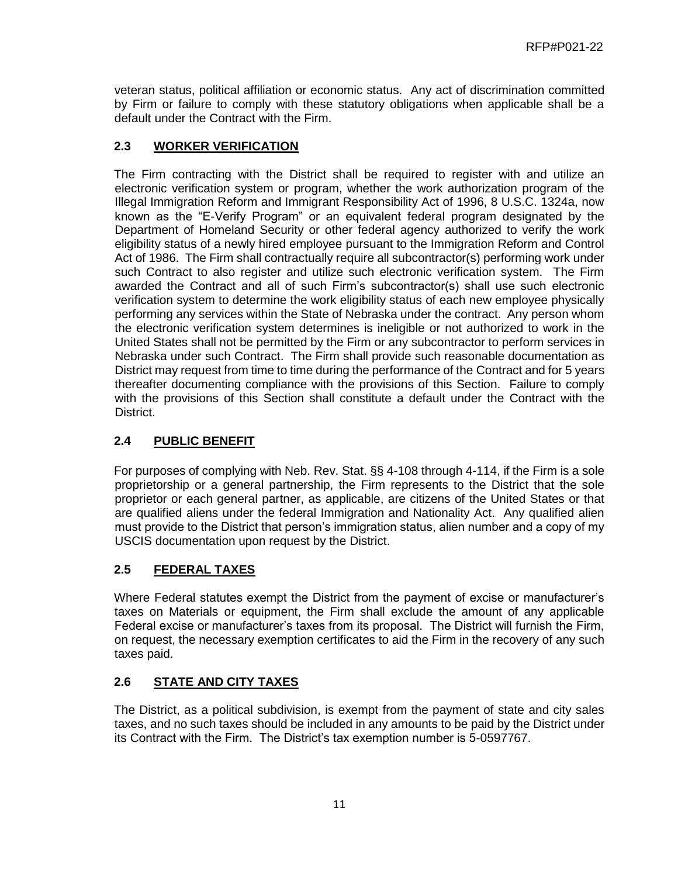veteran status, political affiliation or economic status. Any act of discrimination committed by Firm or failure to comply with these statutory obligations when applicable shall be a default under the Contract with the Firm.

## **2.3 WORKER VERIFICATION**

The Firm contracting with the District shall be required to register with and utilize an electronic verification system or program, whether the work authorization program of the Illegal Immigration Reform and Immigrant Responsibility Act of 1996, 8 U.S.C. 1324a, now known as the "E-Verify Program" or an equivalent federal program designated by the Department of Homeland Security or other federal agency authorized to verify the work eligibility status of a newly hired employee pursuant to the Immigration Reform and Control Act of 1986. The Firm shall contractually require all subcontractor(s) performing work under such Contract to also register and utilize such electronic verification system. The Firm awarded the Contract and all of such Firm's subcontractor(s) shall use such electronic verification system to determine the work eligibility status of each new employee physically performing any services within the State of Nebraska under the contract. Any person whom the electronic verification system determines is ineligible or not authorized to work in the United States shall not be permitted by the Firm or any subcontractor to perform services in Nebraska under such Contract. The Firm shall provide such reasonable documentation as District may request from time to time during the performance of the Contract and for 5 years thereafter documenting compliance with the provisions of this Section. Failure to comply with the provisions of this Section shall constitute a default under the Contract with the District.

## **2.4 PUBLIC BENEFIT**

For purposes of complying with Neb. Rev. Stat. §§ 4-108 through 4-114, if the Firm is a sole proprietorship or a general partnership, the Firm represents to the District that the sole proprietor or each general partner, as applicable, are citizens of the United States or that are qualified aliens under the federal Immigration and Nationality Act. Any qualified alien must provide to the District that person's immigration status, alien number and a copy of my USCIS documentation upon request by the District.

## **2.5 FEDERAL TAXES**

Where Federal statutes exempt the District from the payment of excise or manufacturer's taxes on Materials or equipment, the Firm shall exclude the amount of any applicable Federal excise or manufacturer's taxes from its proposal. The District will furnish the Firm, on request, the necessary exemption certificates to aid the Firm in the recovery of any such taxes paid.

## **2.6 STATE AND CITY TAXES**

The District, as a political subdivision, is exempt from the payment of state and city sales taxes, and no such taxes should be included in any amounts to be paid by the District under its Contract with the Firm. The District's tax exemption number is 5-0597767.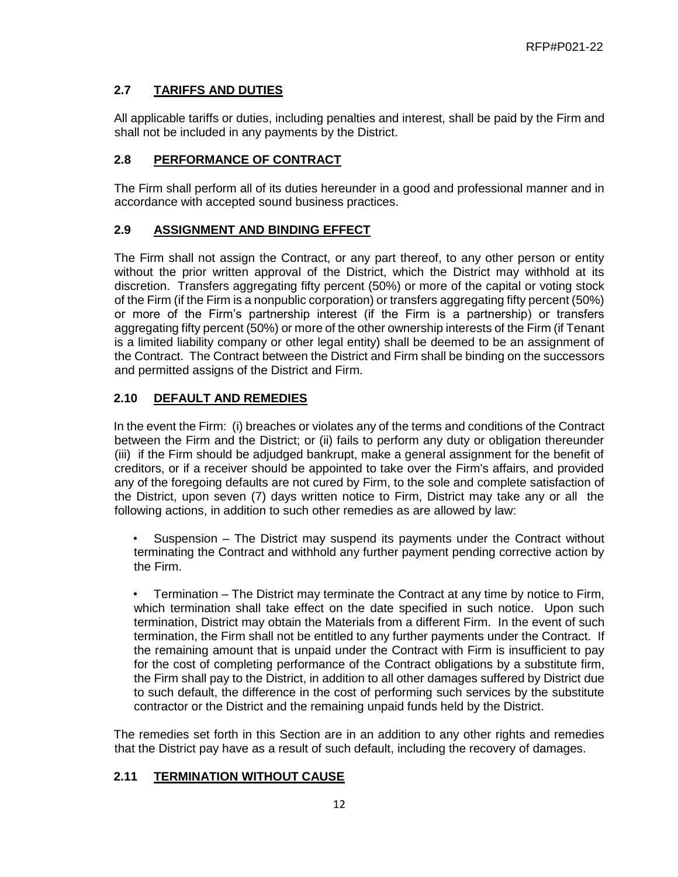## **2.7 TARIFFS AND DUTIES**

All applicable tariffs or duties, including penalties and interest, shall be paid by the Firm and shall not be included in any payments by the District.

## **2.8 PERFORMANCE OF CONTRACT**

The Firm shall perform all of its duties hereunder in a good and professional manner and in accordance with accepted sound business practices.

## **2.9 ASSIGNMENT AND BINDING EFFECT**

The Firm shall not assign the Contract, or any part thereof, to any other person or entity without the prior written approval of the District, which the District may withhold at its discretion. Transfers aggregating fifty percent (50%) or more of the capital or voting stock of the Firm (if the Firm is a nonpublic corporation) or transfers aggregating fifty percent (50%) or more of the Firm's partnership interest (if the Firm is a partnership) or transfers aggregating fifty percent (50%) or more of the other ownership interests of the Firm (if Tenant is a limited liability company or other legal entity) shall be deemed to be an assignment of the Contract. The Contract between the District and Firm shall be binding on the successors and permitted assigns of the District and Firm.

## **2.10 DEFAULT AND REMEDIES**

In the event the Firm: (i) breaches or violates any of the terms and conditions of the Contract between the Firm and the District; or (ii) fails to perform any duty or obligation thereunder (iii) if the Firm should be adjudged bankrupt, make a general assignment for the benefit of creditors, or if a receiver should be appointed to take over the Firm's affairs, and provided any of the foregoing defaults are not cured by Firm, to the sole and complete satisfaction of the District, upon seven (7) days written notice to Firm, District may take any or all the following actions, in addition to such other remedies as are allowed by law:

- Suspension The District may suspend its payments under the Contract without terminating the Contract and withhold any further payment pending corrective action by the Firm.
- Termination The District may terminate the Contract at any time by notice to Firm, which termination shall take effect on the date specified in such notice. Upon such termination, District may obtain the Materials from a different Firm. In the event of such termination, the Firm shall not be entitled to any further payments under the Contract. If the remaining amount that is unpaid under the Contract with Firm is insufficient to pay for the cost of completing performance of the Contract obligations by a substitute firm, the Firm shall pay to the District, in addition to all other damages suffered by District due to such default, the difference in the cost of performing such services by the substitute contractor or the District and the remaining unpaid funds held by the District.

The remedies set forth in this Section are in an addition to any other rights and remedies that the District pay have as a result of such default, including the recovery of damages.

## **2.11 TERMINATION WITHOUT CAUSE**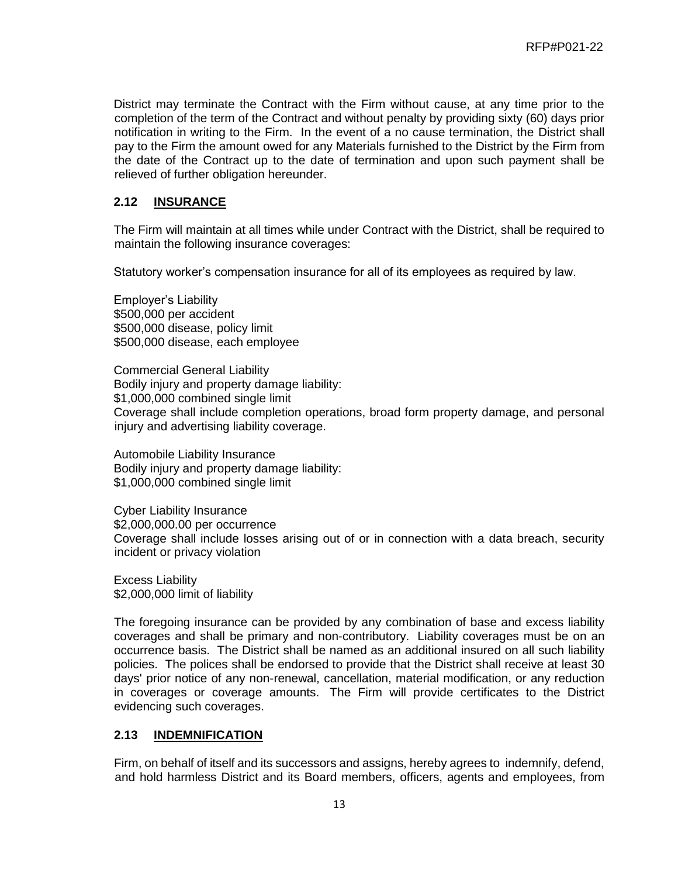District may terminate the Contract with the Firm without cause, at any time prior to the completion of the term of the Contract and without penalty by providing sixty (60) days prior notification in writing to the Firm. In the event of a no cause termination, the District shall pay to the Firm the amount owed for any Materials furnished to the District by the Firm from the date of the Contract up to the date of termination and upon such payment shall be relieved of further obligation hereunder.

## **2.12 INSURANCE**

The Firm will maintain at all times while under Contract with the District, shall be required to maintain the following insurance coverages:

Statutory worker's compensation insurance for all of its employees as required by law.

Employer's Liability \$500,000 per accident \$500,000 disease, policy limit \$500,000 disease, each employee

Commercial General Liability Bodily injury and property damage liability: \$1,000,000 combined single limit Coverage shall include completion operations, broad form property damage, and personal injury and advertising liability coverage.

Automobile Liability Insurance Bodily injury and property damage liability: \$1,000,000 combined single limit

Cyber Liability Insurance \$2,000,000.00 per occurrence Coverage shall include losses arising out of or in connection with a data breach, security incident or privacy violation

Excess Liability \$2,000,000 limit of liability

The foregoing insurance can be provided by any combination of base and excess liability coverages and shall be primary and non-contributory. Liability coverages must be on an occurrence basis. The District shall be named as an additional insured on all such liability policies. The polices shall be endorsed to provide that the District shall receive at least 30 days' prior notice of any non-renewal, cancellation, material modification, or any reduction in coverages or coverage amounts. The Firm will provide certificates to the District evidencing such coverages.

## **2.13 INDEMNIFICATION**

Firm, on behalf of itself and its successors and assigns, hereby agrees to indemnify, defend, and hold harmless District and its Board members, officers, agents and employees, from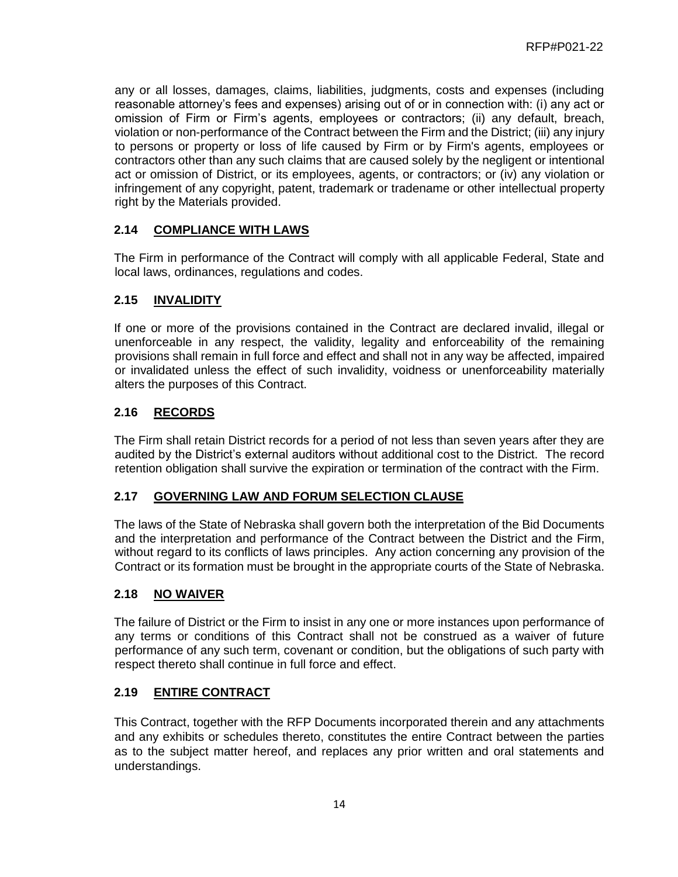any or all losses, damages, claims, liabilities, judgments, costs and expenses (including reasonable attorney's fees and expenses) arising out of or in connection with: (i) any act or omission of Firm or Firm's agents, employees or contractors; (ii) any default, breach, violation or non-performance of the Contract between the Firm and the District; (iii) any injury to persons or property or loss of life caused by Firm or by Firm's agents, employees or contractors other than any such claims that are caused solely by the negligent or intentional act or omission of District, or its employees, agents, or contractors; or (iv) any violation or infringement of any copyright, patent, trademark or tradename or other intellectual property right by the Materials provided.

## **2.14 COMPLIANCE WITH LAWS**

The Firm in performance of the Contract will comply with all applicable Federal, State and local laws, ordinances, regulations and codes.

## **2.15 INVALIDITY**

If one or more of the provisions contained in the Contract are declared invalid, illegal or unenforceable in any respect, the validity, legality and enforceability of the remaining provisions shall remain in full force and effect and shall not in any way be affected, impaired or invalidated unless the effect of such invalidity, voidness or unenforceability materially alters the purposes of this Contract.

## **2.16 RECORDS**

The Firm shall retain District records for a period of not less than seven years after they are audited by the District's external auditors without additional cost to the District. The record retention obligation shall survive the expiration or termination of the contract with the Firm.

## **2.17 GOVERNING LAW AND FORUM SELECTION CLAUSE**

The laws of the State of Nebraska shall govern both the interpretation of the Bid Documents and the interpretation and performance of the Contract between the District and the Firm, without regard to its conflicts of laws principles. Any action concerning any provision of the Contract or its formation must be brought in the appropriate courts of the State of Nebraska.

## **2.18 NO WAIVER**

The failure of District or the Firm to insist in any one or more instances upon performance of any terms or conditions of this Contract shall not be construed as a waiver of future performance of any such term, covenant or condition, but the obligations of such party with respect thereto shall continue in full force and effect.

## **2.19 ENTIRE CONTRACT**

This Contract, together with the RFP Documents incorporated therein and any attachments and any exhibits or schedules thereto, constitutes the entire Contract between the parties as to the subject matter hereof, and replaces any prior written and oral statements and understandings.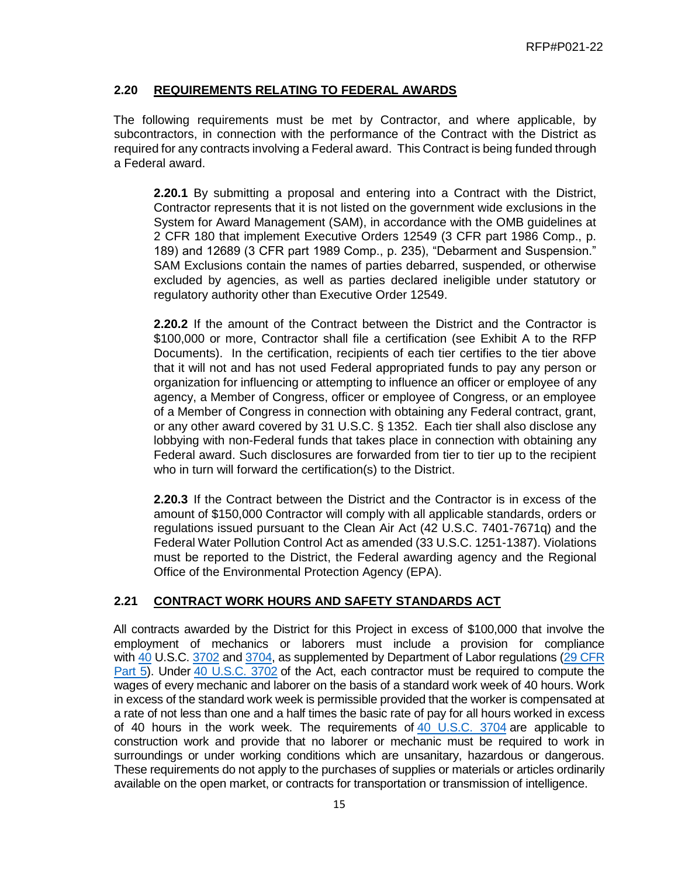## **2.20 REQUIREMENTS RELATING TO FEDERAL AWARDS**

The following requirements must be met by Contractor, and where applicable, by subcontractors, in connection with the performance of the Contract with the District as required for any contracts involving a Federal award. This Contract is being funded through a Federal award.

**2.20.1** By submitting a proposal and entering into a Contract with the District, Contractor represents that it is not listed on the government wide exclusions in the System for Award Management (SAM), in accordance with the OMB guidelines at 2 CFR 180 that implement Executive Orders 12549 (3 CFR part 1986 Comp., p. 189) and 12689 (3 CFR part 1989 Comp., p. 235), "Debarment and Suspension." SAM Exclusions contain the names of parties debarred, suspended, or otherwise excluded by agencies, as well as parties declared ineligible under statutory or regulatory authority other than Executive Order 12549.

**2.20.2** If the amount of the Contract between the District and the Contractor is \$100,000 or more, Contractor shall file a certification (see Exhibit A to the RFP Documents). In the certification, recipients of each tier certifies to the tier above that it will not and has not used Federal appropriated funds to pay any person or organization for influencing or attempting to influence an officer or employee of any agency, a Member of Congress, officer or employee of Congress, or an employee of a Member of Congress in connection with obtaining any Federal contract, grant, or any other award covered by 31 U.S.C. § 1352. Each tier shall also disclose any lobbying with non-Federal funds that takes place in connection with obtaining any Federal award. Such disclosures are forwarded from tier to tier up to the recipient who in turn will forward the certification(s) to the District.

**2.20.3** If the Contract between the District and the Contractor is in excess of the amount of \$150,000 Contractor will comply with all applicable standards, orders or regulations issued pursuant to the Clean Air Act (42 U.S.C. 7401-7671q) and the Federal Water Pollution Control Act as amended (33 U.S.C. 1251-1387). Violations must be reported to the District, the Federal awarding agency and the Regional Office of the Environmental Protection Agency (EPA).

#### **2.21 CONTRACT WORK HOURS AND SAFETY STANDARDS ACT**

All contracts awarded by the District for this Project in excess of \$100,000 that involve the employment of mechanics or laborers must include a provision for compliance with [40](https://www.law.cornell.edu/uscode/text/40) U.S.C. [3702](https://www.law.cornell.edu/uscode/text/40/3702) and [3704,](https://www.law.cornell.edu/uscode/text/40/3704) as supplemented by Department of Labor regulations [\(29 CFR](https://www.law.cornell.edu/cfr/text/29/part-5)  [Part 5\)](https://www.law.cornell.edu/cfr/text/29/part-5). Under [40 U.S.C. 3702](https://www.law.cornell.edu/uscode/text/40/3702) of the Act, each contractor must be required to compute the wages of every mechanic and laborer on the basis of a standard work week of 40 hours. Work in excess of the standard work week is permissible provided that the worker is compensated at a rate of not less than one and a half times the basic rate of pay for all hours worked in excess of 40 hours in the work week. The requirements of [40 U.S.C. 3704](https://www.law.cornell.edu/uscode/text/40/3704) are applicable to construction work and provide that no laborer or mechanic must be required to work in surroundings or under working conditions which are unsanitary, hazardous or dangerous. These requirements do not apply to the purchases of supplies or materials or articles ordinarily available on the open market, or contracts for transportation or transmission of intelligence.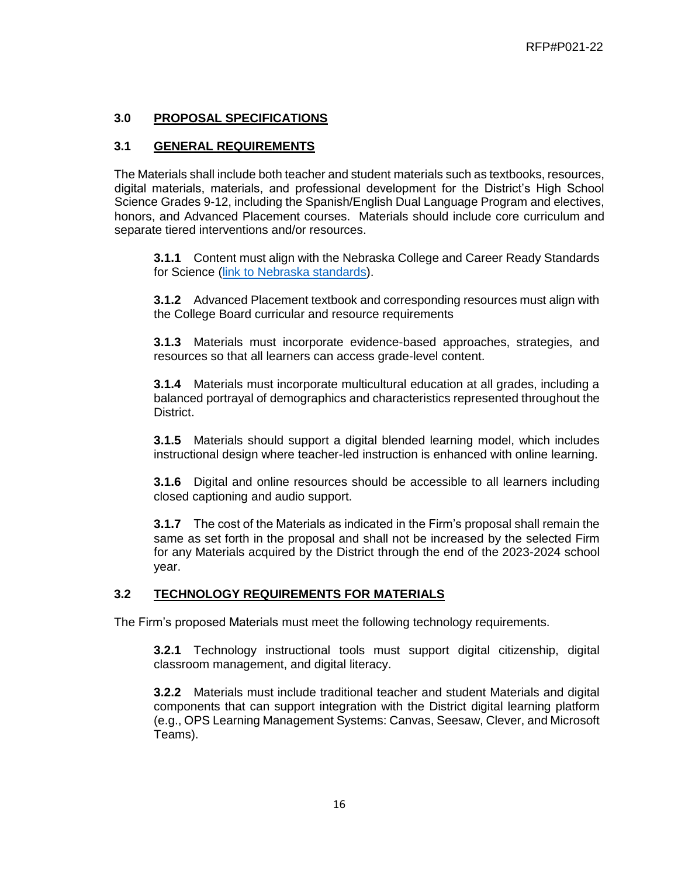## **3.0 PROPOSAL SPECIFICATIONS**

## **3.1 GENERAL REQUIREMENTS**

The Materials shall include both teacher and student materials such as textbooks, resources, digital materials, materials, and professional development for the District's High School Science Grades 9-12, including the Spanish/English Dual Language Program and electives, honors, and Advanced Placement courses. Materials should include core curriculum and separate tiered interventions and/or resources.

**3.1.1** Content must align with the Nebraska College and Career Ready Standards for Science [\(link to Nebraska standards\)](https://cdn.education.ne.gov/wp-content/uploads/2017/10/Nebraska_Science_Standards_Final_10_23.pdf).

**3.1.2** Advanced Placement textbook and corresponding resources must align with the College Board curricular and resource requirements

**3.1.3** Materials must incorporate evidence-based approaches, strategies, and resources so that all learners can access grade-level content.

**3.1.4** Materials must incorporate multicultural education at all grades, including a balanced portrayal of demographics and characteristics represented throughout the District.

**3.1.5** Materials should support a digital blended learning model, which includes instructional design where teacher-led instruction is enhanced with online learning.

**3.1.6** Digital and online resources should be accessible to all learners including closed captioning and audio support.

**3.1.7** The cost of the Materials as indicated in the Firm's proposal shall remain the same as set forth in the proposal and shall not be increased by the selected Firm for any Materials acquired by the District through the end of the 2023-2024 school year.

#### **3.2 TECHNOLOGY REQUIREMENTS FOR MATERIALS**

The Firm's proposed Materials must meet the following technology requirements.

**3.2.1** Technology instructional tools must support digital citizenship, digital classroom management, and digital literacy.

**3.2.2** Materials must include traditional teacher and student Materials and digital components that can support integration with the District digital learning platform (e.g., OPS Learning Management Systems: Canvas, Seesaw, Clever, and Microsoft Teams).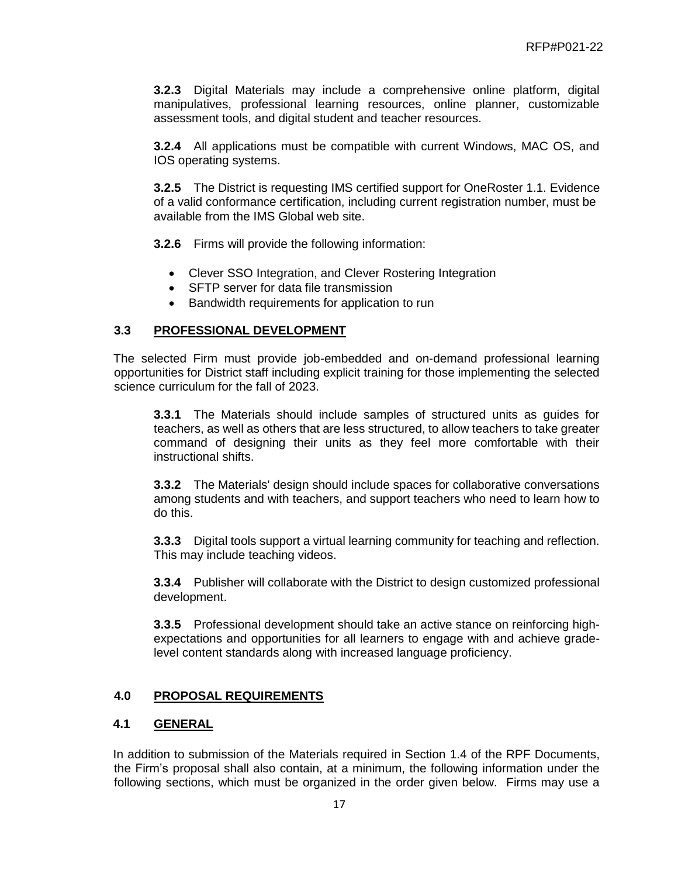**3.2.3** Digital Materials may include a comprehensive online platform, digital manipulatives, professional learning resources, online planner, customizable assessment tools, and digital student and teacher resources.

**3.2.4** All applications must be compatible with current Windows, MAC OS, and IOS operating systems.

**3.2.5** The District is requesting IMS certified support for OneRoster 1.1. Evidence of a valid conformance certification, including current registration number, must be available from the IMS Global web site.

**3.2.6** Firms will provide the following information:

- Clever SSO Integration, and Clever Rostering Integration
- SFTP server for data file transmission
- Bandwidth requirements for application to run

#### **3.3 PROFESSIONAL DEVELOPMENT**

The selected Firm must provide job-embedded and on-demand professional learning opportunities for District staff including explicit training for those implementing the selected science curriculum for the fall of 2023.

**3.3.1** The Materials should include samples of structured units as guides for teachers, as well as others that are less structured, to allow teachers to take greater command of designing their units as they feel more comfortable with their instructional shifts.

**3.3.2** The Materials' design should include spaces for collaborative conversations among students and with teachers, and support teachers who need to learn how to do this.

**3.3.3** Digital tools support a virtual learning community for teaching and reflection. This may include teaching videos.

**3.3.4** Publisher will collaborate with the District to design customized professional development.

**3.3.5** Professional development should take an active stance on reinforcing highexpectations and opportunities for all learners to engage with and achieve gradelevel content standards along with increased language proficiency.

#### **4.0 PROPOSAL REQUIREMENTS**

## **4.1 GENERAL**

In addition to submission of the Materials required in Section 1.4 of the RPF Documents, the Firm's proposal shall also contain, at a minimum, the following information under the following sections, which must be organized in the order given below. Firms may use a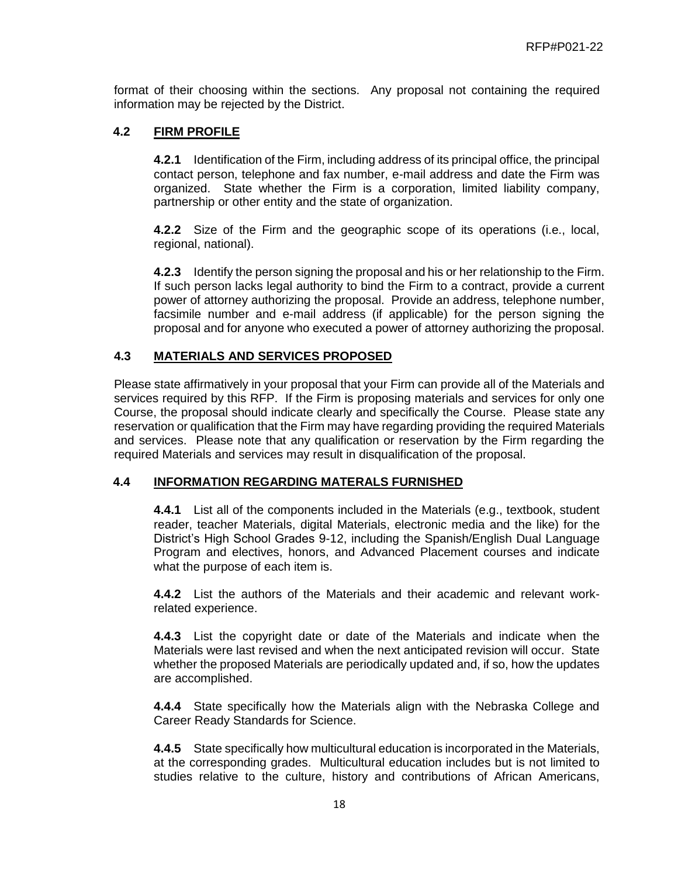format of their choosing within the sections. Any proposal not containing the required information may be rejected by the District.

### **4.2 FIRM PROFILE**

**4.2.1** Identification of the Firm, including address of its principal office, the principal contact person, telephone and fax number, e-mail address and date the Firm was organized. State whether the Firm is a corporation, limited liability company, partnership or other entity and the state of organization.

**4.2.2** Size of the Firm and the geographic scope of its operations (i.e., local, regional, national).

**4.2.3** Identify the person signing the proposal and his or her relationship to the Firm. If such person lacks legal authority to bind the Firm to a contract, provide a current power of attorney authorizing the proposal. Provide an address, telephone number, facsimile number and e-mail address (if applicable) for the person signing the proposal and for anyone who executed a power of attorney authorizing the proposal.

### **4.3 MATERIALS AND SERVICES PROPOSED**

Please state affirmatively in your proposal that your Firm can provide all of the Materials and services required by this RFP. If the Firm is proposing materials and services for only one Course, the proposal should indicate clearly and specifically the Course. Please state any reservation or qualification that the Firm may have regarding providing the required Materials and services. Please note that any qualification or reservation by the Firm regarding the required Materials and services may result in disqualification of the proposal.

#### **4.4 INFORMATION REGARDING MATERALS FURNISHED**

**4.4.1** List all of the components included in the Materials (e.g., textbook, student reader, teacher Materials, digital Materials, electronic media and the like) for the District's High School Grades 9-12, including the Spanish/English Dual Language Program and electives, honors, and Advanced Placement courses and indicate what the purpose of each item is.

**4.4.2** List the authors of the Materials and their academic and relevant workrelated experience.

**4.4.3** List the copyright date or date of the Materials and indicate when the Materials were last revised and when the next anticipated revision will occur. State whether the proposed Materials are periodically updated and, if so, how the updates are accomplished.

**4.4.4** State specifically how the Materials align with the Nebraska College and Career Ready Standards for Science.

**4.4.5** State specifically how multicultural education is incorporated in the Materials, at the corresponding grades. Multicultural education includes but is not limited to studies relative to the culture, history and contributions of African Americans,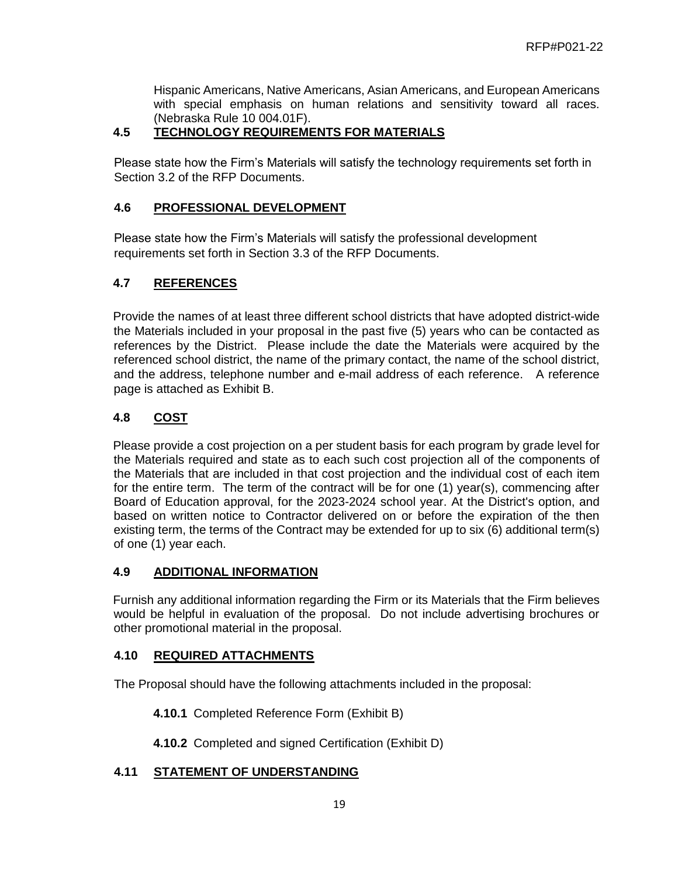Hispanic Americans, Native Americans, Asian Americans, and European Americans with special emphasis on human relations and sensitivity toward all races. (Nebraska Rule 10 004.01F).

# **4.5 TECHNOLOGY REQUIREMENTS FOR MATERIALS**

Please state how the Firm's Materials will satisfy the technology requirements set forth in Section 3.2 of the RFP Documents.

## **4.6 PROFESSIONAL DEVELOPMENT**

Please state how the Firm's Materials will satisfy the professional development requirements set forth in Section 3.3 of the RFP Documents.

## **4.7 REFERENCES**

Provide the names of at least three different school districts that have adopted district-wide the Materials included in your proposal in the past five (5) years who can be contacted as references by the District. Please include the date the Materials were acquired by the referenced school district, the name of the primary contact, the name of the school district, and the address, telephone number and e-mail address of each reference. A reference page is attached as Exhibit B.

## **4.8 COST**

Please provide a cost projection on a per student basis for each program by grade level for the Materials required and state as to each such cost projection all of the components of the Materials that are included in that cost projection and the individual cost of each item for the entire term. The term of the contract will be for one (1) year(s), commencing after Board of Education approval, for the 2023-2024 school year. At the District's option, and based on written notice to Contractor delivered on or before the expiration of the then existing term, the terms of the Contract may be extended for up to six (6) additional term(s) of one (1) year each.

## **4.9 ADDITIONAL INFORMATION**

Furnish any additional information regarding the Firm or its Materials that the Firm believes would be helpful in evaluation of the proposal. Do not include advertising brochures or other promotional material in the proposal.

#### **4.10 REQUIRED ATTACHMENTS**

The Proposal should have the following attachments included in the proposal:

**4.10.1** Completed Reference Form (Exhibit B)

**4.10.2** Completed and signed Certification (Exhibit D)

## **4.11 STATEMENT OF UNDERSTANDING**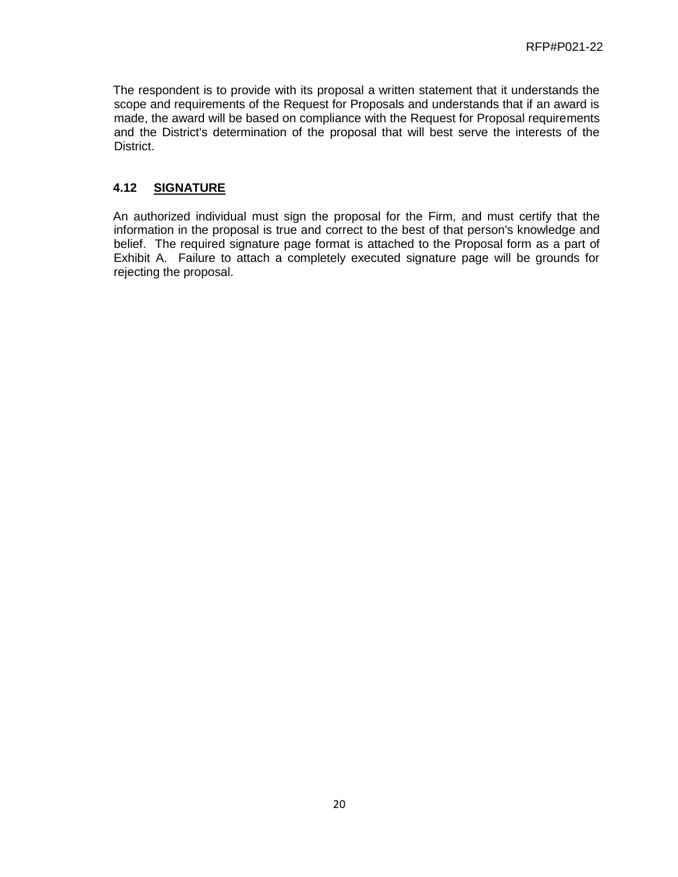The respondent is to provide with its proposal a written statement that it understands the scope and requirements of the Request for Proposals and understands that if an award is made, the award will be based on compliance with the Request for Proposal requirements and the District's determination of the proposal that will best serve the interests of the District.

## **4.12 SIGNATURE**

An authorized individual must sign the proposal for the Firm, and must certify that the information in the proposal is true and correct to the best of that person's knowledge and belief. The required signature page format is attached to the Proposal form as a part of Exhibit A. Failure to attach a completely executed signature page will be grounds for rejecting the proposal.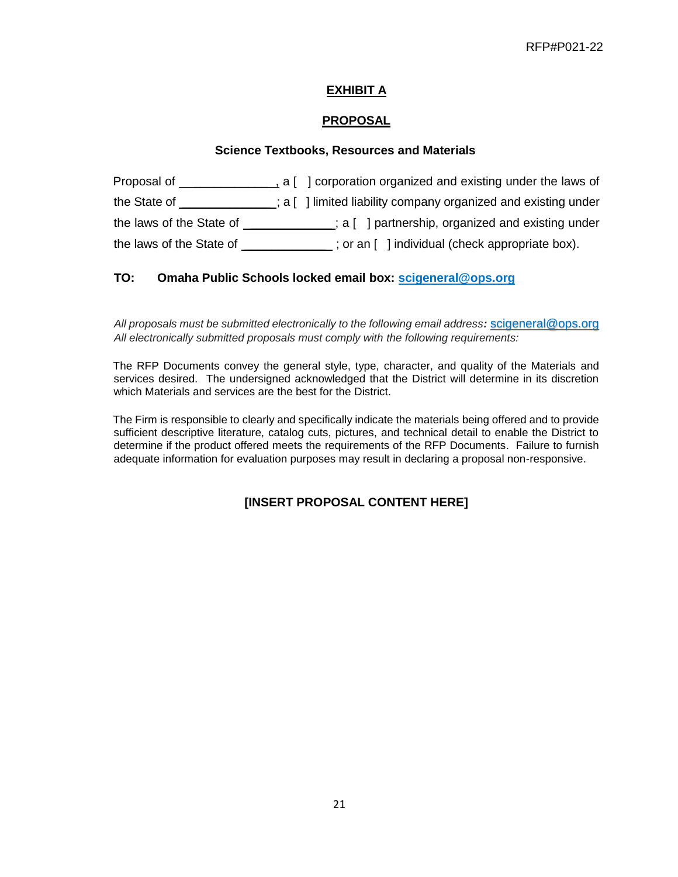## **EXHIBIT A**

## **PROPOSAL**

### **Science Textbooks, Resources and Materials**

| Proposal of              | corporation organized and existing under the laws of<br>. a I             |
|--------------------------|---------------------------------------------------------------------------|
| the State of             | ; a [ ] limited liability company organized and existing under            |
| the laws of the State of | $\pm$ ; a [ ] partnership, organized and existing under                   |
| the laws of the State of | $\overline{a}$ ; or an $\overline{a}$ individual (check appropriate box). |

## **TO: Omaha Public Schools locked email box: [scigeneral@ops.org](mailto:scigeneral@ops.org)**

*All proposals must be submitted electronically to the following email address:* [scigeneral@ops.org](mailto:scigeneral@ops.org) *All electronically submitted proposals must comply with the following requirements:*

The RFP Documents convey the general style, type, character, and quality of the Materials and services desired. The undersigned acknowledged that the District will determine in its discretion which Materials and services are the best for the District.

The Firm is responsible to clearly and specifically indicate the materials being offered and to provide sufficient descriptive literature, catalog cuts, pictures, and technical detail to enable the District to determine if the product offered meets the requirements of the RFP Documents. Failure to furnish adequate information for evaluation purposes may result in declaring a proposal non-responsive.

## **[INSERT PROPOSAL CONTENT HERE]**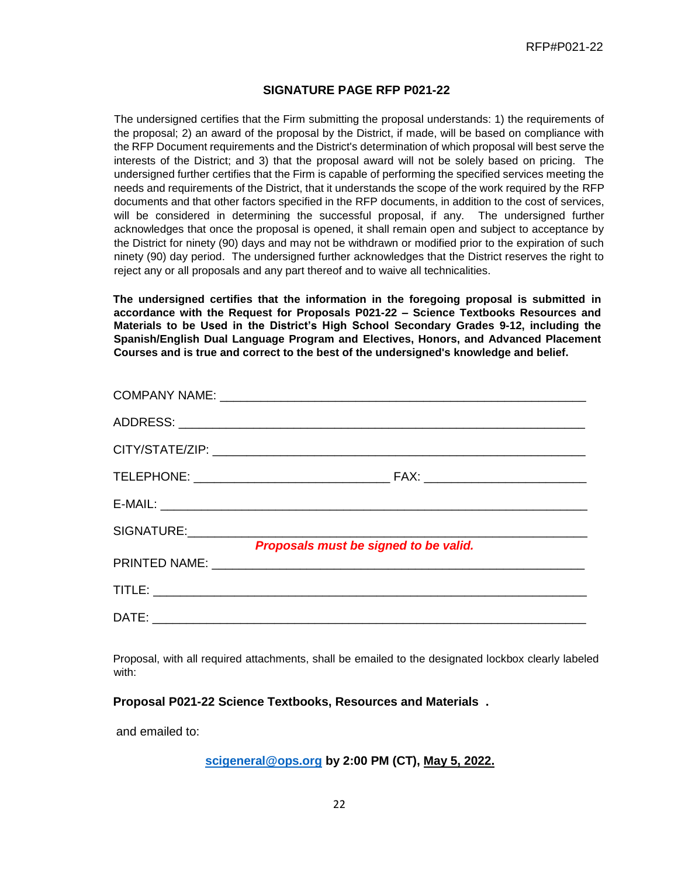#### **SIGNATURE PAGE RFP P021-22**

The undersigned certifies that the Firm submitting the proposal understands: 1) the requirements of the proposal; 2) an award of the proposal by the District, if made, will be based on compliance with the RFP Document requirements and the District's determination of which proposal will best serve the interests of the District; and 3) that the proposal award will not be solely based on pricing. The undersigned further certifies that the Firm is capable of performing the specified services meeting the needs and requirements of the District, that it understands the scope of the work required by the RFP documents and that other factors specified in the RFP documents, in addition to the cost of services, will be considered in determining the successful proposal, if any. The undersigned further acknowledges that once the proposal is opened, it shall remain open and subject to acceptance by the District for ninety (90) days and may not be withdrawn or modified prior to the expiration of such ninety (90) day period. The undersigned further acknowledges that the District reserves the right to reject any or all proposals and any part thereof and to waive all technicalities.

**The undersigned certifies that the information in the foregoing proposal is submitted in accordance with the Request for Proposals P021-22 – Science Textbooks Resources and Materials to be Used in the District's High School Secondary Grades 9-12, including the Spanish/English Dual Language Program and Electives, Honors, and Advanced Placement Courses and is true and correct to the best of the undersigned's knowledge and belief.** 

| SIGNATURE:________________ | Proposals must be signed to be valid. |  |
|----------------------------|---------------------------------------|--|
|                            |                                       |  |
|                            |                                       |  |
|                            |                                       |  |

Proposal, with all required attachments, shall be emailed to the designated lockbox clearly labeled with:

#### **Proposal P021-22 Science Textbooks, Resources and Materials .**

and emailed to:

#### **[scigeneral@ops.org](mailto:scigeneral@ops.org) by 2:00 PM (CT), May 5, 2022.**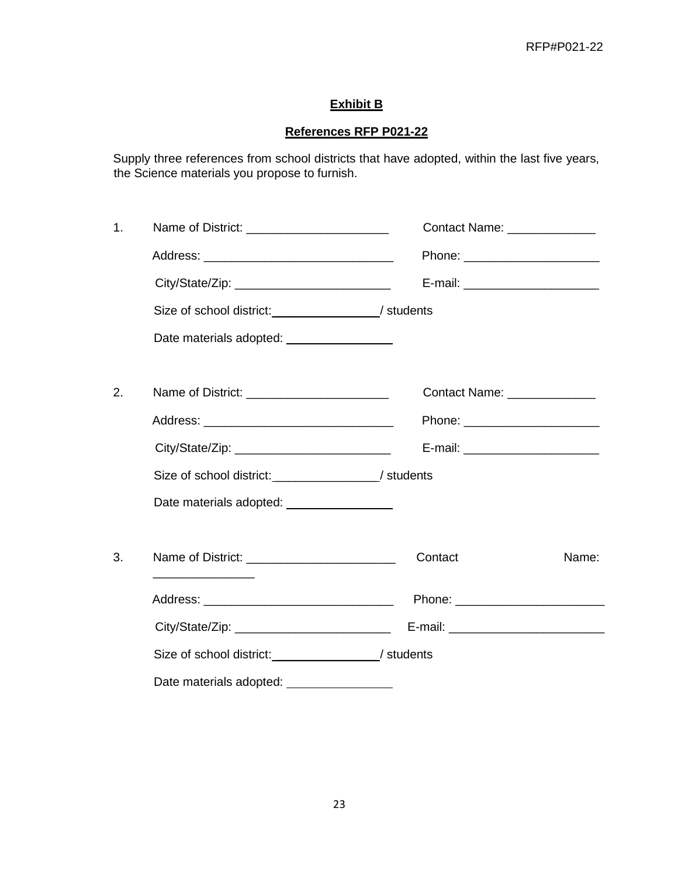## **Exhibit B**

# **References RFP P021-22**

Supply three references from school districts that have adopted, within the last five years, the Science materials you propose to furnish.

| 1. |                                                    | Contact Name: _______________    |       |
|----|----------------------------------------------------|----------------------------------|-------|
|    |                                                    | Phone: ________________________  |       |
|    |                                                    | E-mail: ________________________ |       |
|    | Size of school district: //www.fluite.com/students |                                  |       |
|    | Date materials adopted: _________________          |                                  |       |
| 2. | Name of District: ________________________         | Contact Name: ______________     |       |
|    |                                                    | Phone: ________________________  |       |
|    |                                                    | E-mail: ________________________ |       |
|    | Size of school district: // students               |                                  |       |
|    | Date materials adopted: _________________          |                                  |       |
| 3. | Name of District: ____________________________     | Contact                          | Name: |
|    |                                                    |                                  |       |
|    |                                                    |                                  |       |
|    | Size of school district: // students               |                                  |       |
|    | Date materials adopted: ___________________        |                                  |       |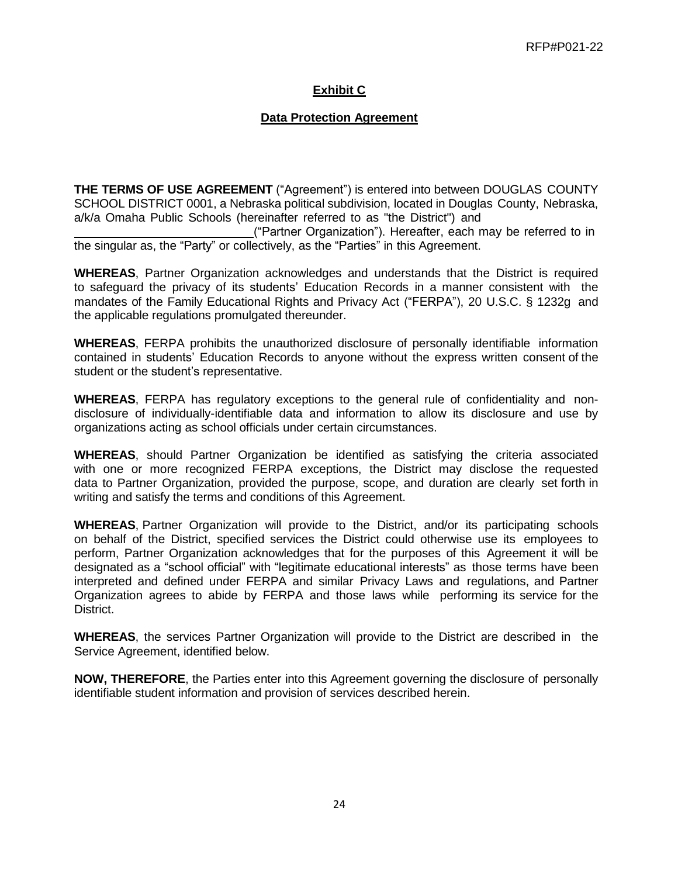# **Exhibit C**

## **Data Protection Agreement**

**THE TERMS OF USE AGREEMENT** ("Agreement") is entered into between DOUGLAS COUNTY SCHOOL DISTRICT 0001, a Nebraska political subdivision, located in Douglas County, Nebraska, a/k/a Omaha Public Schools (hereinafter referred to as "the District") and

("Partner Organization"). Hereafter, each may be referred to in the singular as, the "Party" or collectively, as the "Parties" in this Agreement.

**WHEREAS**, Partner Organization acknowledges and understands that the District is required to safeguard the privacy of its students' Education Records in a manner consistent with the mandates of the Family Educational Rights and Privacy Act ("FERPA"), 20 U.S.C. § 1232g and the applicable regulations promulgated thereunder.

**WHEREAS**, FERPA prohibits the unauthorized disclosure of personally identifiable information contained in students' Education Records to anyone without the express written consent of the student or the student's representative.

**WHEREAS**, FERPA has regulatory exceptions to the general rule of confidentiality and nondisclosure of individually-identifiable data and information to allow its disclosure and use by organizations acting as school officials under certain circumstances.

**WHEREAS**, should Partner Organization be identified as satisfying the criteria associated with one or more recognized FERPA exceptions, the District may disclose the requested data to Partner Organization, provided the purpose, scope, and duration are clearly set forth in writing and satisfy the terms and conditions of this Agreement.

**WHEREAS**, Partner Organization will provide to the District, and/or its participating schools on behalf of the District, specified services the District could otherwise use its employees to perform, Partner Organization acknowledges that for the purposes of this Agreement it will be designated as a "school official" with "legitimate educational interests" as those terms have been interpreted and defined under FERPA and similar Privacy Laws and regulations, and Partner Organization agrees to abide by FERPA and those laws while performing its service for the District.

**WHEREAS**, the services Partner Organization will provide to the District are described in the Service Agreement, identified below.

**NOW, THEREFORE**, the Parties enter into this Agreement governing the disclosure of personally identifiable student information and provision of services described herein.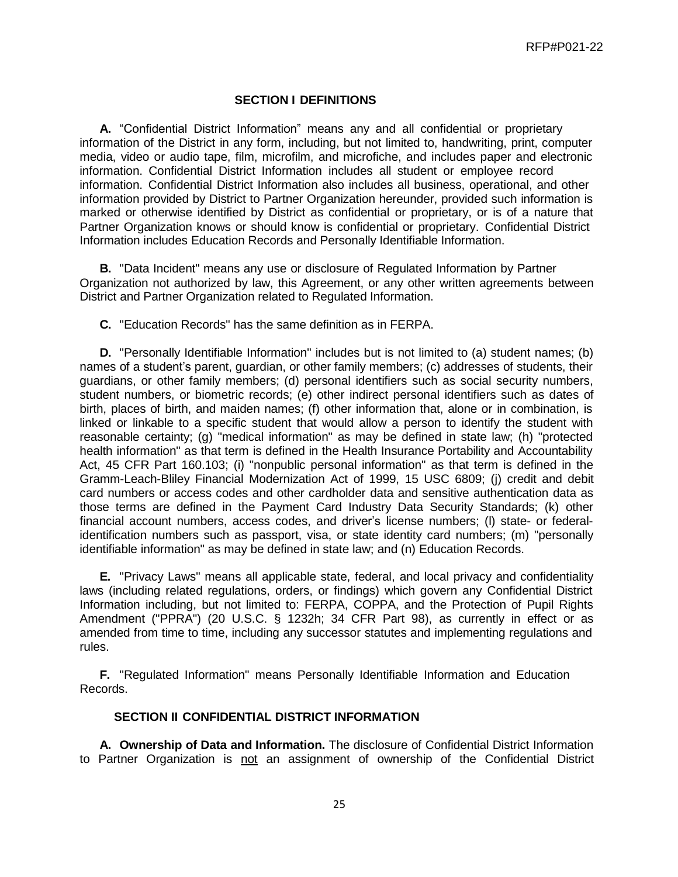#### **SECTION I DEFINITIONS**

**A.** "Confidential District Information" means any and all confidential or proprietary information of the District in any form, including, but not limited to, handwriting, print, computer media, video or audio tape, film, microfilm, and microfiche, and includes paper and electronic information. Confidential District Information includes all student or employee record information. Confidential District Information also includes all business, operational, and other information provided by District to Partner Organization hereunder, provided such information is marked or otherwise identified by District as confidential or proprietary, or is of a nature that Partner Organization knows or should know is confidential or proprietary. Confidential District Information includes Education Records and Personally Identifiable Information.

**B.** "Data Incident" means any use or disclosure of Regulated Information by Partner Organization not authorized by law, this Agreement, or any other written agreements between District and Partner Organization related to Regulated Information.

**C.** "Education Records" has the same definition as in FERPA.

**D.** "Personally Identifiable Information" includes but is not limited to (a) student names; (b) names of a student's parent, guardian, or other family members; (c) addresses of students, their guardians, or other family members; (d) personal identifiers such as social security numbers, student numbers, or biometric records; (e) other indirect personal identifiers such as dates of birth, places of birth, and maiden names; (f) other information that, alone or in combination, is linked or linkable to a specific student that would allow a person to identify the student with reasonable certainty; (g) "medical information" as may be defined in state law; (h) "protected health information" as that term is defined in the Health Insurance Portability and Accountability Act, 45 CFR Part 160.103; (i) "nonpublic personal information" as that term is defined in the Gramm-Leach-Bliley Financial Modernization Act of 1999, 15 USC 6809; (j) credit and debit card numbers or access codes and other cardholder data and sensitive authentication data as those terms are defined in the Payment Card Industry Data Security Standards; (k) other financial account numbers, access codes, and driver's license numbers; (l) state- or federalidentification numbers such as passport, visa, or state identity card numbers; (m) "personally identifiable information" as may be defined in state law; and (n) Education Records.

**E.** "Privacy Laws" means all applicable state, federal, and local privacy and confidentiality laws (including related regulations, orders, or findings) which govern any Confidential District Information including, but not limited to: FERPA, COPPA, and the Protection of Pupil Rights Amendment ("PPRA") (20 U.S.C. § 1232h; 34 CFR Part 98), as currently in effect or as amended from time to time, including any successor statutes and implementing regulations and rules.

**F.** "Regulated Information" means Personally Identifiable Information and Education Records.

#### **SECTION II CONFIDENTIAL DISTRICT INFORMATION**

**A. Ownership of Data and Information.** The disclosure of Confidential District Information to Partner Organization is not an assignment of ownership of the Confidential District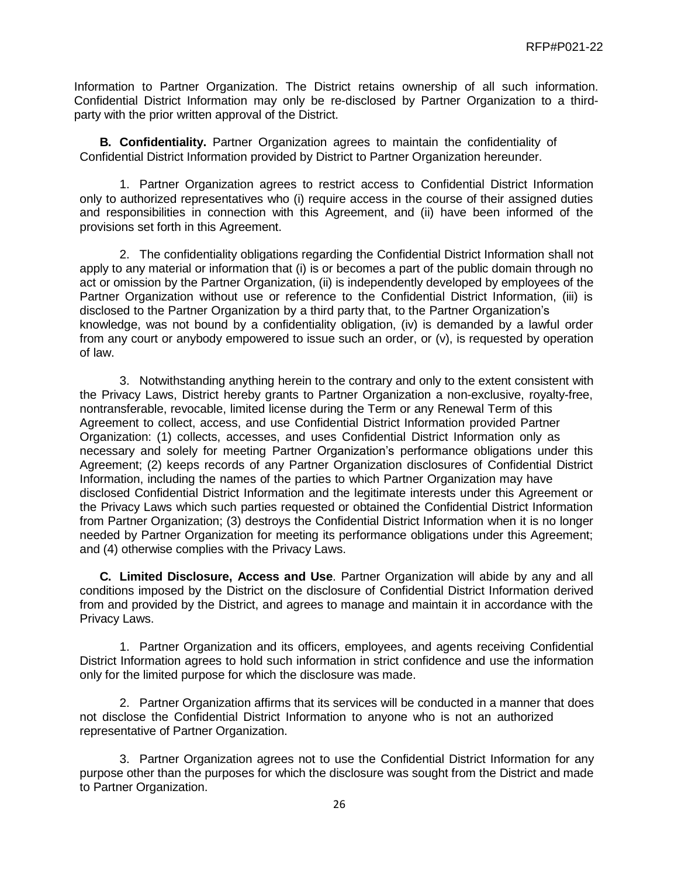Information to Partner Organization. The District retains ownership of all such information. Confidential District Information may only be re-disclosed by Partner Organization to a thirdparty with the prior written approval of the District.

**B. Confidentiality.** Partner Organization agrees to maintain the confidentiality of Confidential District Information provided by District to Partner Organization hereunder.

1. Partner Organization agrees to restrict access to Confidential District Information only to authorized representatives who (i) require access in the course of their assigned duties and responsibilities in connection with this Agreement, and (ii) have been informed of the provisions set forth in this Agreement.

2. The confidentiality obligations regarding the Confidential District Information shall not apply to any material or information that (i) is or becomes a part of the public domain through no act or omission by the Partner Organization, (ii) is independently developed by employees of the Partner Organization without use or reference to the Confidential District Information, (iii) is disclosed to the Partner Organization by a third party that, to the Partner Organization's knowledge, was not bound by a confidentiality obligation, (iv) is demanded by a lawful order from any court or anybody empowered to issue such an order, or (v), is requested by operation of law.

3. Notwithstanding anything herein to the contrary and only to the extent consistent with the Privacy Laws, District hereby grants to Partner Organization a non-exclusive, royalty-free, nontransferable, revocable, limited license during the Term or any Renewal Term of this Agreement to collect, access, and use Confidential District Information provided Partner Organization: (1) collects, accesses, and uses Confidential District Information only as necessary and solely for meeting Partner Organization's performance obligations under this Agreement; (2) keeps records of any Partner Organization disclosures of Confidential District Information, including the names of the parties to which Partner Organization may have disclosed Confidential District Information and the legitimate interests under this Agreement or the Privacy Laws which such parties requested or obtained the Confidential District Information from Partner Organization; (3) destroys the Confidential District Information when it is no longer needed by Partner Organization for meeting its performance obligations under this Agreement; and (4) otherwise complies with the Privacy Laws.

**C. Limited Disclosure, Access and Use**. Partner Organization will abide by any and all conditions imposed by the District on the disclosure of Confidential District Information derived from and provided by the District, and agrees to manage and maintain it in accordance with the Privacy Laws.

1. Partner Organization and its officers, employees, and agents receiving Confidential District Information agrees to hold such information in strict confidence and use the information only for the limited purpose for which the disclosure was made.

2. Partner Organization affirms that its services will be conducted in a manner that does not disclose the Confidential District Information to anyone who is not an authorized representative of Partner Organization.

3. Partner Organization agrees not to use the Confidential District Information for any purpose other than the purposes for which the disclosure was sought from the District and made to Partner Organization.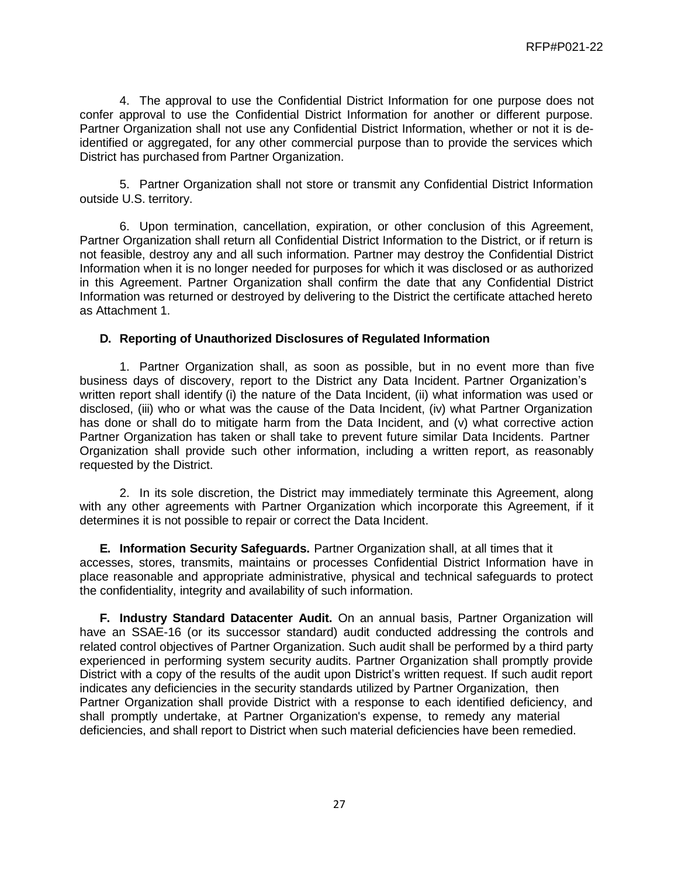4. The approval to use the Confidential District Information for one purpose does not confer approval to use the Confidential District Information for another or different purpose. Partner Organization shall not use any Confidential District Information, whether or not it is deidentified or aggregated, for any other commercial purpose than to provide the services which District has purchased from Partner Organization.

5. Partner Organization shall not store or transmit any Confidential District Information outside U.S. territory.

6. Upon termination, cancellation, expiration, or other conclusion of this Agreement, Partner Organization shall return all Confidential District Information to the District, or if return is not feasible, destroy any and all such information. Partner may destroy the Confidential District Information when it is no longer needed for purposes for which it was disclosed or as authorized in this Agreement. Partner Organization shall confirm the date that any Confidential District Information was returned or destroyed by delivering to the District the certificate attached hereto as Attachment 1.

#### **D. Reporting of Unauthorized Disclosures of Regulated Information**

1. Partner Organization shall, as soon as possible, but in no event more than five business days of discovery, report to the District any Data Incident. Partner Organization's written report shall identify (i) the nature of the Data Incident, (ii) what information was used or disclosed, (iii) who or what was the cause of the Data Incident, (iv) what Partner Organization has done or shall do to mitigate harm from the Data Incident, and (v) what corrective action Partner Organization has taken or shall take to prevent future similar Data Incidents. Partner Organization shall provide such other information, including a written report, as reasonably requested by the District.

2. In its sole discretion, the District may immediately terminate this Agreement, along with any other agreements with Partner Organization which incorporate this Agreement, if it determines it is not possible to repair or correct the Data Incident.

**E. Information Security Safeguards.** Partner Organization shall, at all times that it accesses, stores, transmits, maintains or processes Confidential District Information have in place reasonable and appropriate administrative, physical and technical safeguards to protect the confidentiality, integrity and availability of such information.

**F. Industry Standard Datacenter Audit.** On an annual basis, Partner Organization will have an SSAE-16 (or its successor standard) audit conducted addressing the controls and related control objectives of Partner Organization. Such audit shall be performed by a third party experienced in performing system security audits. Partner Organization shall promptly provide District with a copy of the results of the audit upon District's written request. If such audit report indicates any deficiencies in the security standards utilized by Partner Organization, then Partner Organization shall provide District with a response to each identified deficiency, and shall promptly undertake, at Partner Organization's expense, to remedy any material deficiencies, and shall report to District when such material deficiencies have been remedied.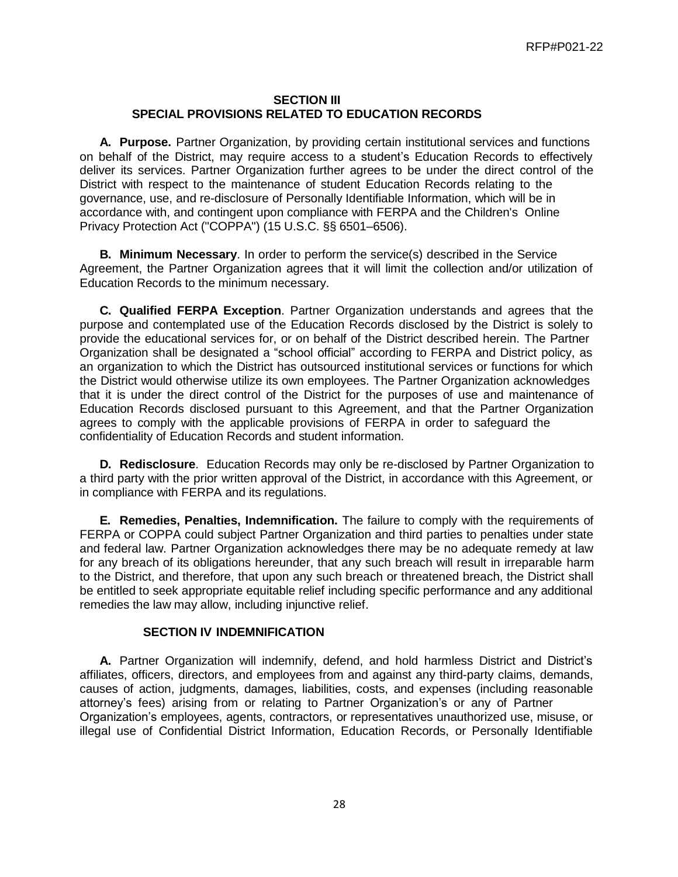### **SECTION III SPECIAL PROVISIONS RELATED TO EDUCATION RECORDS**

**A. Purpose.** Partner Organization, by providing certain institutional services and functions on behalf of the District, may require access to a student's Education Records to effectively deliver its services. Partner Organization further agrees to be under the direct control of the District with respect to the maintenance of student Education Records relating to the governance, use, and re-disclosure of Personally Identifiable Information, which will be in accordance with, and contingent upon compliance with FERPA and the Children's Online Privacy Protection Act ("COPPA") (15 U.S.C. §§ 6501–6506).

**B. Minimum Necessary**. In order to perform the service(s) described in the Service Agreement, the Partner Organization agrees that it will limit the collection and/or utilization of Education Records to the minimum necessary.

**C. Qualified FERPA Exception**. Partner Organization understands and agrees that the purpose and contemplated use of the Education Records disclosed by the District is solely to provide the educational services for, or on behalf of the District described herein. The Partner Organization shall be designated a "school official" according to FERPA and District policy, as an organization to which the District has outsourced institutional services or functions for which the District would otherwise utilize its own employees. The Partner Organization acknowledges that it is under the direct control of the District for the purposes of use and maintenance of Education Records disclosed pursuant to this Agreement, and that the Partner Organization agrees to comply with the applicable provisions of FERPA in order to safeguard the confidentiality of Education Records and student information.

**D. Redisclosure**. Education Records may only be re-disclosed by Partner Organization to a third party with the prior written approval of the District, in accordance with this Agreement, or in compliance with FERPA and its regulations.

**E. Remedies, Penalties, Indemnification.** The failure to comply with the requirements of FERPA or COPPA could subject Partner Organization and third parties to penalties under state and federal law. Partner Organization acknowledges there may be no adequate remedy at law for any breach of its obligations hereunder, that any such breach will result in irreparable harm to the District, and therefore, that upon any such breach or threatened breach, the District shall be entitled to seek appropriate equitable relief including specific performance and any additional remedies the law may allow, including injunctive relief.

#### **SECTION IV INDEMNIFICATION**

**A.** Partner Organization will indemnify, defend, and hold harmless District and District's affiliates, officers, directors, and employees from and against any third-party claims, demands, causes of action, judgments, damages, liabilities, costs, and expenses (including reasonable attorney's fees) arising from or relating to Partner Organization's or any of Partner Organization's employees, agents, contractors, or representatives unauthorized use, misuse, or illegal use of Confidential District Information, Education Records, or Personally Identifiable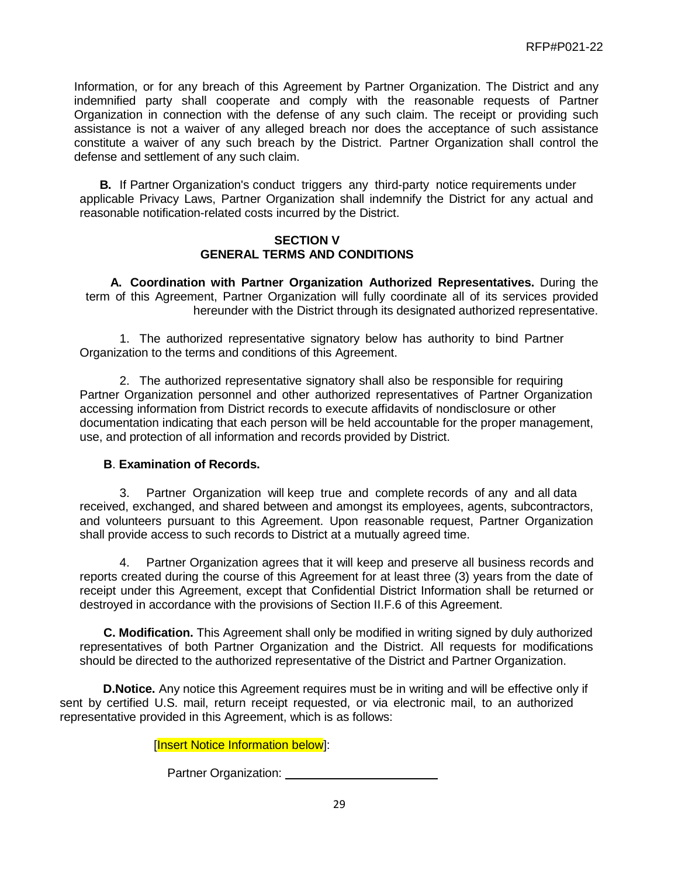Information, or for any breach of this Agreement by Partner Organization. The District and any indemnified party shall cooperate and comply with the reasonable requests of Partner Organization in connection with the defense of any such claim. The receipt or providing such assistance is not a waiver of any alleged breach nor does the acceptance of such assistance constitute a waiver of any such breach by the District. Partner Organization shall control the defense and settlement of any such claim.

**B.** If Partner Organization's conduct triggers any third-party notice requirements under applicable Privacy Laws, Partner Organization shall indemnify the District for any actual and reasonable notification-related costs incurred by the District.

#### **SECTION V GENERAL TERMS AND CONDITIONS**

**A. Coordination with Partner Organization Authorized Representatives.** During the term of this Agreement, Partner Organization will fully coordinate all of its services provided hereunder with the District through its designated authorized representative.

1. The authorized representative signatory below has authority to bind Partner Organization to the terms and conditions of this Agreement.

2. The authorized representative signatory shall also be responsible for requiring Partner Organization personnel and other authorized representatives of Partner Organization accessing information from District records to execute affidavits of nondisclosure or other documentation indicating that each person will be held accountable for the proper management, use, and protection of all information and records provided by District.

## **B**. **Examination of Records.**

3. Partner Organization will keep true and complete records of any and all data received, exchanged, and shared between and amongst its employees, agents, subcontractors, and volunteers pursuant to this Agreement. Upon reasonable request, Partner Organization shall provide access to such records to District at a mutually agreed time.

4. Partner Organization agrees that it will keep and preserve all business records and reports created during the course of this Agreement for at least three (3) years from the date of receipt under this Agreement, except that Confidential District Information shall be returned or destroyed in accordance with the provisions of Section II.F.6 of this Agreement.

 **C. Modification.** This Agreement shall only be modified in writing signed by duly authorized representatives of both Partner Organization and the District. All requests for modifications should be directed to the authorized representative of the District and Partner Organization.

**D.Notice.** Any notice this Agreement requires must be in writing and will be effective only if sent by certified U.S. mail, return receipt requested, or via electronic mail, to an authorized representative provided in this Agreement, which is as follows:

[Insert Notice Information below]:

Partner Organization: 2008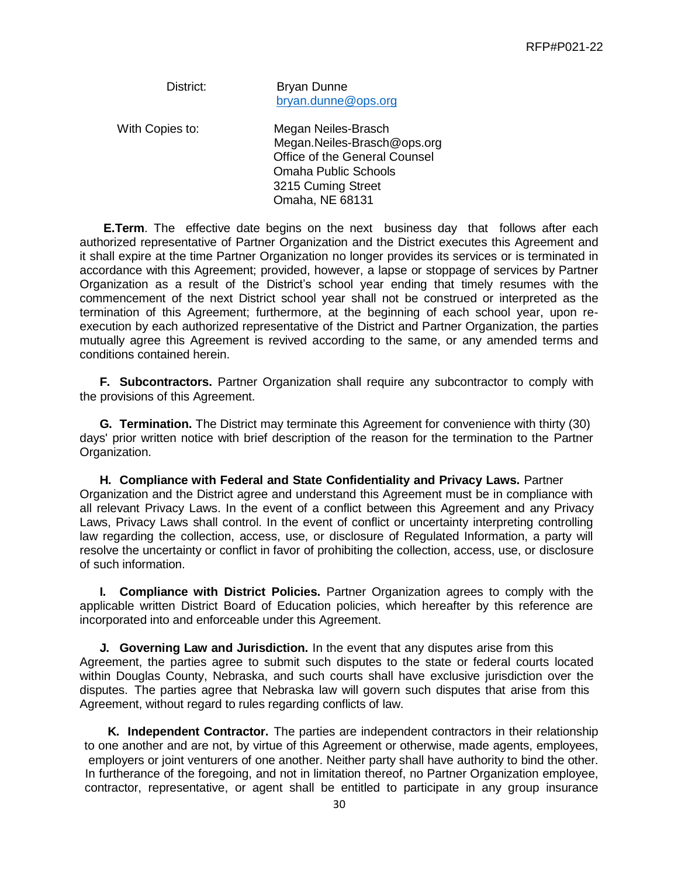| District:       | <b>Bryan Dunne</b><br>bryan.dunne@ops.org                                                                                                            |
|-----------------|------------------------------------------------------------------------------------------------------------------------------------------------------|
| With Copies to: | Megan Neiles-Brasch<br>Megan.Neiles-Brasch@ops.org<br>Office of the General Counsel<br>Omaha Public Schools<br>3215 Cuming Street<br>Omaha, NE 68131 |

 **E.Term**. The effective date begins on the next business day that follows after each authorized representative of Partner Organization and the District executes this Agreement and it shall expire at the time Partner Organization no longer provides its services or is terminated in accordance with this Agreement; provided, however, a lapse or stoppage of services by Partner Organization as a result of the District's school year ending that timely resumes with the commencement of the next District school year shall not be construed or interpreted as the termination of this Agreement; furthermore, at the beginning of each school year, upon reexecution by each authorized representative of the District and Partner Organization, the parties mutually agree this Agreement is revived according to the same, or any amended terms and conditions contained herein.

**F. Subcontractors.** Partner Organization shall require any subcontractor to comply with the provisions of this Agreement.

**G. Termination.** The District may terminate this Agreement for convenience with thirty (30) days' prior written notice with brief description of the reason for the termination to the Partner Organization.

**H. Compliance with Federal and State Confidentiality and Privacy Laws.** Partner Organization and the District agree and understand this Agreement must be in compliance with all relevant Privacy Laws. In the event of a conflict between this Agreement and any Privacy Laws, Privacy Laws shall control. In the event of conflict or uncertainty interpreting controlling law regarding the collection, access, use, or disclosure of Regulated Information, a party will resolve the uncertainty or conflict in favor of prohibiting the collection, access, use, or disclosure of such information.

**I. Compliance with District Policies.** Partner Organization agrees to comply with the applicable written District Board of Education policies, which hereafter by this reference are incorporated into and enforceable under this Agreement.

**J. Governing Law and Jurisdiction.** In the event that any disputes arise from this Agreement, the parties agree to submit such disputes to the state or federal courts located within Douglas County, Nebraska, and such courts shall have exclusive jurisdiction over the disputes. The parties agree that Nebraska law will govern such disputes that arise from this Agreement, without regard to rules regarding conflicts of law.

**K. Independent Contractor.** The parties are independent contractors in their relationship to one another and are not, by virtue of this Agreement or otherwise, made agents, employees, employers or joint venturers of one another. Neither party shall have authority to bind the other. In furtherance of the foregoing, and not in limitation thereof, no Partner Organization employee, contractor, representative, or agent shall be entitled to participate in any group insurance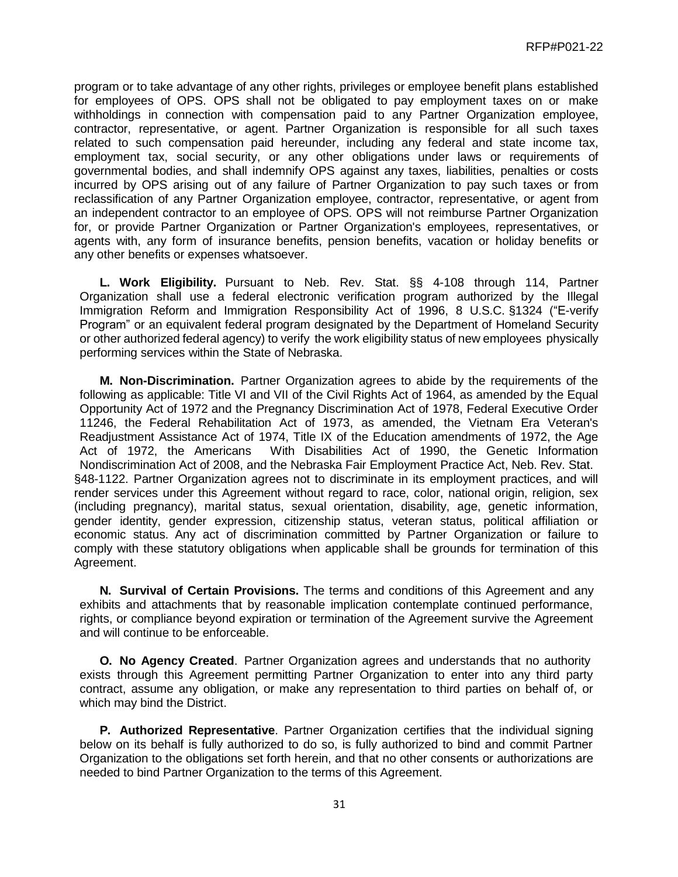program or to take advantage of any other rights, privileges or employee benefit plans established for employees of OPS. OPS shall not be obligated to pay employment taxes on or make withholdings in connection with compensation paid to any Partner Organization employee, contractor, representative, or agent. Partner Organization is responsible for all such taxes related to such compensation paid hereunder, including any federal and state income tax, employment tax, social security, or any other obligations under laws or requirements of governmental bodies, and shall indemnify OPS against any taxes, liabilities, penalties or costs incurred by OPS arising out of any failure of Partner Organization to pay such taxes or from reclassification of any Partner Organization employee, contractor, representative, or agent from an independent contractor to an employee of OPS. OPS will not reimburse Partner Organization for, or provide Partner Organization or Partner Organization's employees, representatives, or agents with, any form of insurance benefits, pension benefits, vacation or holiday benefits or any other benefits or expenses whatsoever.

**L. Work Eligibility.** Pursuant to Neb. Rev. Stat. §§ 4-108 through 114, Partner Organization shall use a federal electronic verification program authorized by the Illegal Immigration Reform and Immigration Responsibility Act of 1996, 8 U.S.C. §1324 ("E-verify Program" or an equivalent federal program designated by the Department of Homeland Security or other authorized federal agency) to verify the work eligibility status of new employees physically performing services within the State of Nebraska.

**M. Non-Discrimination.** Partner Organization agrees to abide by the requirements of the following as applicable: Title VI and VII of the Civil Rights Act of 1964, as amended by the Equal Opportunity Act of 1972 and the Pregnancy Discrimination Act of 1978, Federal Executive Order 11246, the Federal Rehabilitation Act of 1973, as amended, the Vietnam Era Veteran's Readjustment Assistance Act of 1974, Title IX of the Education amendments of 1972, the Age Act of 1972, the Americans With Disabilities Act of 1990, the Genetic Information Nondiscrimination Act of 2008, and the Nebraska Fair Employment Practice Act, Neb. Rev. Stat. §48-1122. Partner Organization agrees not to discriminate in its employment practices, and will render services under this Agreement without regard to race, color, national origin, religion, sex (including pregnancy), marital status, sexual orientation, disability, age, genetic information, gender identity, gender expression, citizenship status, veteran status, political affiliation or economic status. Any act of discrimination committed by Partner Organization or failure to comply with these statutory obligations when applicable shall be grounds for termination of this Agreement.

**N. Survival of Certain Provisions.** The terms and conditions of this Agreement and any exhibits and attachments that by reasonable implication contemplate continued performance, rights, or compliance beyond expiration or termination of the Agreement survive the Agreement and will continue to be enforceable.

**O. No Agency Created**. Partner Organization agrees and understands that no authority exists through this Agreement permitting Partner Organization to enter into any third party contract, assume any obligation, or make any representation to third parties on behalf of, or which may bind the District.

**P. Authorized Representative**. Partner Organization certifies that the individual signing below on its behalf is fully authorized to do so, is fully authorized to bind and commit Partner Organization to the obligations set forth herein, and that no other consents or authorizations are needed to bind Partner Organization to the terms of this Agreement.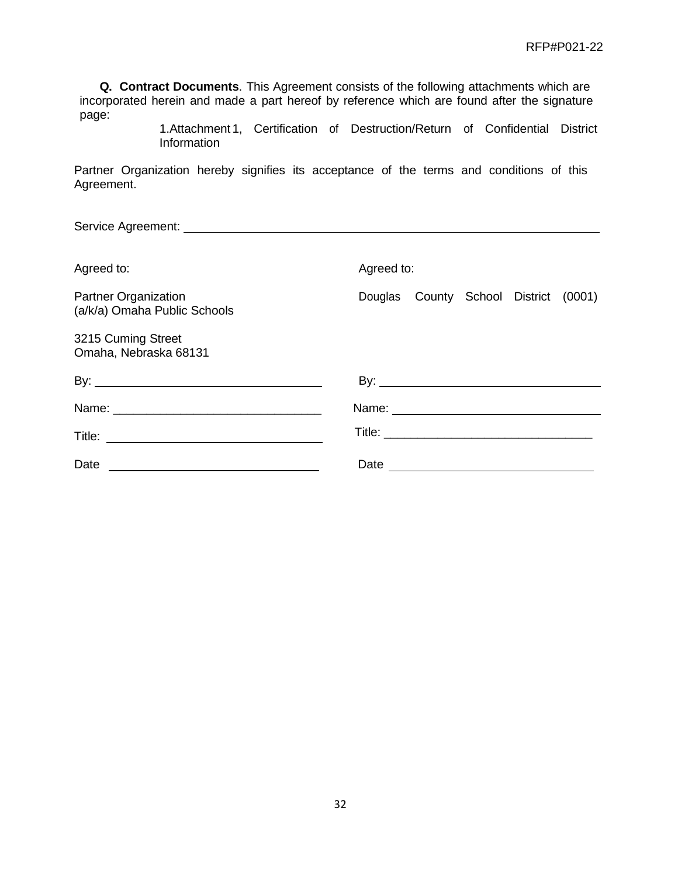**Q. Contract Documents**. This Agreement consists of the following attachments which are incorporated herein and made a part hereof by reference which are found after the signature page:

1.Attachment 1, Certification of Destruction/Return of Confidential District Information

Partner Organization hereby signifies its acceptance of the terms and conditions of this Agreement.

| Agreed to:                                                  | Agreed to:                            |  |  |
|-------------------------------------------------------------|---------------------------------------|--|--|
| <b>Partner Organization</b><br>(a/k/a) Omaha Public Schools | Douglas County School District (0001) |  |  |
| 3215 Cuming Street<br>Omaha, Nebraska 68131                 |                                       |  |  |
|                                                             |                                       |  |  |
|                                                             |                                       |  |  |
|                                                             |                                       |  |  |
|                                                             | Date <u>_________________________</u> |  |  |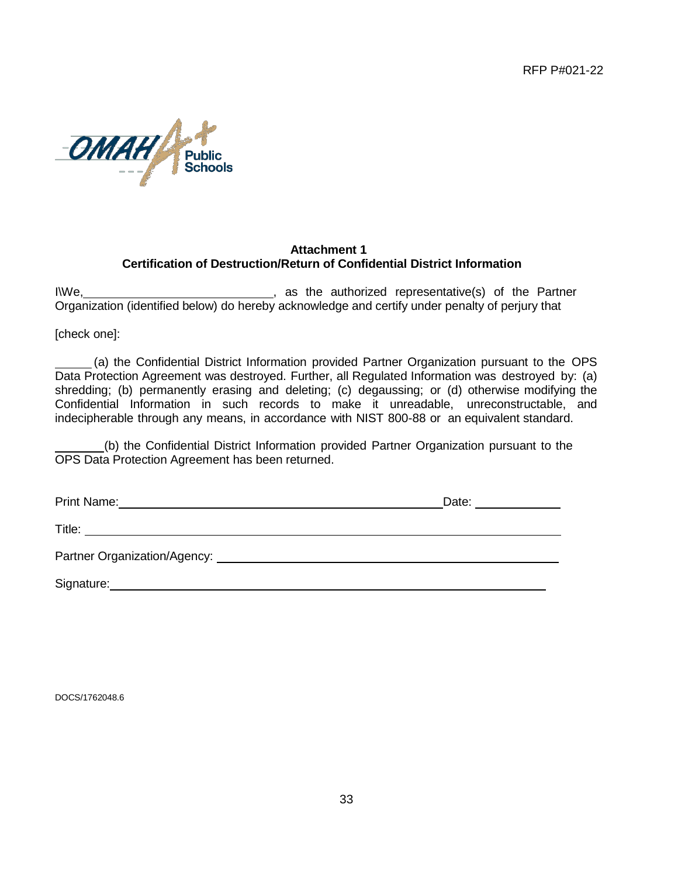RFP P#021-22



### **Attachment 1 Certification of Destruction/Return of Confidential District Information**

I\We, More the authorized representative(s) of the Partner Organization (identified below) do hereby acknowledge and certify under penalty of perjury that

[check one]:

 (a) the Confidential District Information provided Partner Organization pursuant to the OPS Data Protection Agreement was destroyed. Further, all Regulated Information was destroyed by: (a) shredding; (b) permanently erasing and deleting; (c) degaussing; or (d) otherwise modifying the Confidential Information in such records to make it unreadable, unreconstructable, and indecipherable through any means, in accordance with NIST 800-88 or an equivalent standard.

(b) the Confidential District Information provided Partner Organization pursuant to the OPS Data Protection Agreement has been returned.

Print Name: Date: Date: Date: Date: Date: Date: Date: Date: Date: Date: Date: Date: Date: Date: Date: Date: Date: Date: Date: Date: Date: Date: Date: Date: Date: Date: Date: Date: Date: Date: Date: Date: Date: Date: Date:

Title:

Partner Organization/Agency:

Signature: et al. 2010 and 2010 and 2010 and 2010 and 2010 and 2010 and 2010 and 2010 and 2010 and 2010 and 20

DOCS/1762048.6